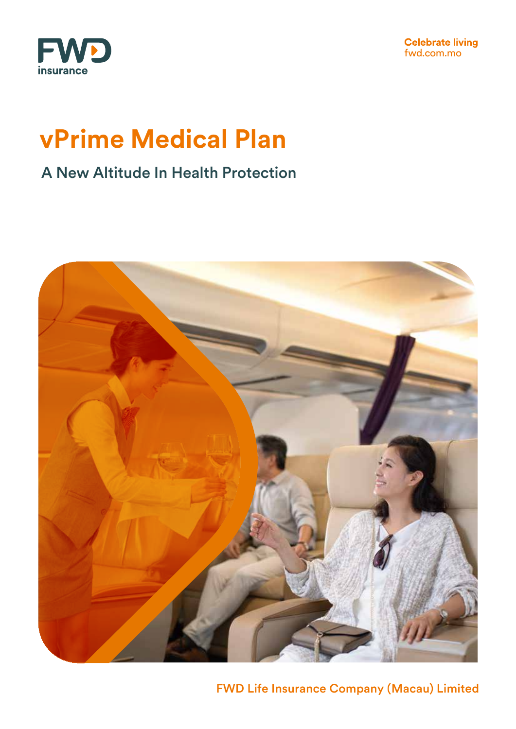

**Celebrate living**<br>fwd.com.mo

# **vPrime Medical Plan**

### A New Altitude In Health Protection



FWD Life Insurance Company (Macau) Limited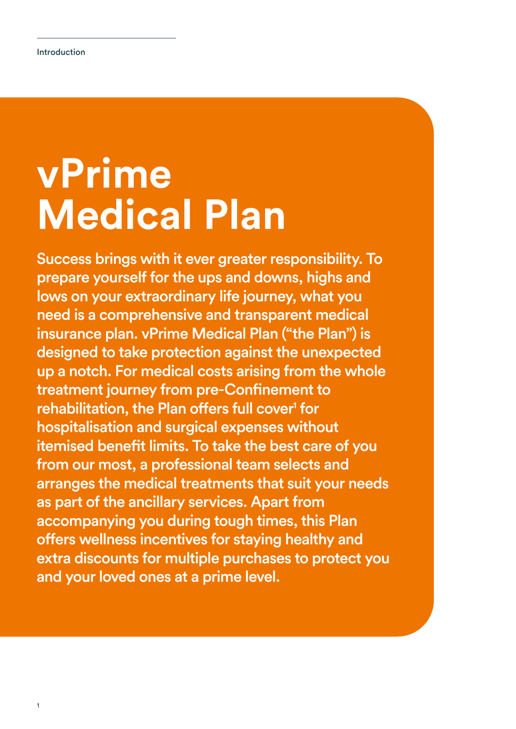# **vPrime Medical Plan**

Success brings with it ever greater responsibility. To prepare yourself for the ups and downs, highs and lows on your extraordinary life journey, what you need is a comprehensive and transparent medical insurance plan. vPrime Medical Plan ("the Plan") is designed to take protection against the unexpected up a notch. For medical costs arising from the whole treatment journey from pre-Confinement to rehabilitation, the Plan offers full cover<sup>1</sup> for hospitalisation and surgical expenses without itemised benefit limits. To take the best care of you from our most, a professional team selects and arranges the medical treatments that suit your needs as part of the ancillary services. Apart from accompanying you during tough times, this Plan offers wellness incentives for staying healthy and extra discounts for multiple purchases to protect you and your loved ones at a prime level.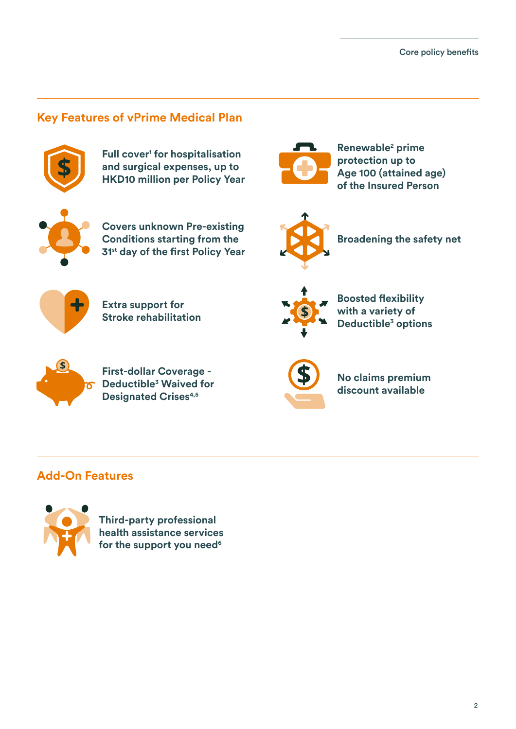### **Key Features of vPrime Medical Plan**



**Full cover<sup>1</sup> for hospitalisation and surgical expenses, up to HKD10 million per Policy Year**



**Renewable2 prime protection up to Age 100 (attained age) of the Insured Person**



**Covers unknown Pre-existing Conditions starting from the 31st day of the first Policy Year**



**Broadening the safety net**



**Extra support for Stroke rehabilitation**



**Boosted flexibility with a variety of Deductible3 options**



**First-dollar Coverage - Deductible3 Waived for Designated Crises4,5**



**No claims premium discount available**

### **Add-On Features**



**Third-party professional health assistance services** for the support you need<sup>6</sup>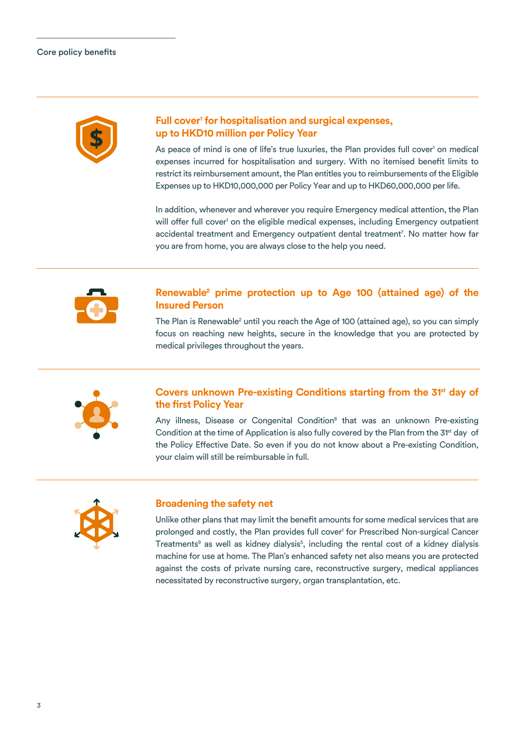

### **Full cover1 for hospitalisation and surgical expenses, up to HKD10 million per Policy Year**

As peace of mind is one of life's true luxuries, the Plan provides full cover<sup>1</sup> on medical expenses incurred for hospitalisation and surgery. With no itemised benefit limits to restrict its reimbursement amount, the Plan entitles you to reimbursements of the Eligible Expenses up to HKD10,000,000 per Policy Year and up to HKD60,000,000 per life.

In addition, whenever and wherever you require Emergency medical attention, the Plan will offer full cover<sup>1</sup> on the eligible medical expenses, including Emergency outpatient accidental treatment and Emergency outpatient dental treatment7 . No matter how far you are from home, you are always close to the help you need.



### **Renewable2 prime protection up to Age 100 (attained age) of the Insured Person**

The Plan is Renewable<sup>2</sup> until you reach the Age of 100 (attained age), so you can simply focus on reaching new heights, secure in the knowledge that you are protected by medical privileges throughout the years.



### **Covers unknown Pre-existing Conditions starting from the 31<sup>st</sup> day of the first Policy Year**

Any illness, Disease or Congenital Condition<sup>8</sup> that was an unknown Pre-existing Condition at the time of Application is also fully covered by the Plan from the 31<sup>st</sup> day of the Policy Effective Date. So even if you do not know about a Pre-existing Condition, your claim will still be reimbursable in full.



### **Broadening the safety net**

Unlike other plans that may limit the benefit amounts for some medical services that are prolonged and costly, the Plan provides full cover<sup>1</sup> for Prescribed Non-surgical Cancer Treatments<sup>9</sup> as well as kidney dialysis<sup>5</sup>, including the rental cost of a kidney dialysis machine for use at home. The Plan's enhanced safety net also means you are protected against the costs of private nursing care, reconstructive surgery, medical appliances necessitated by reconstructive surgery, organ transplantation, etc.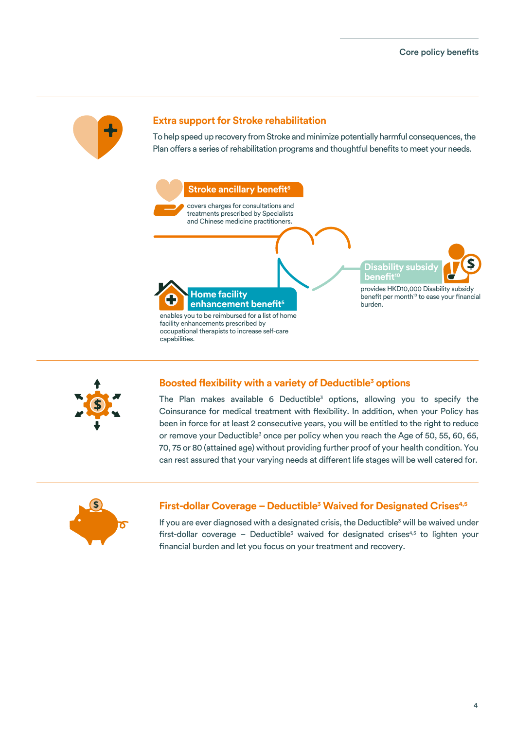

### **Extra support for Stroke rehabilitation**

To help speed up recovery from Stroke and minimize potentially harmful consequences, the Plan offers a series of rehabilitation programs and thoughtful benefits to meet your needs.





### **Boosted flexibility with a variety of Deductible<sup>3</sup> options**

The Plan makes available 6 Deductible<sup>3</sup> options, allowing you to specify the Coinsurance for medical treatment with flexibility. In addition, when your Policy has been in force for at least 2 consecutive years, you will be entitled to the right to reduce or remove your Deductible<sup>3</sup> once per policy when you reach the Age of 50, 55, 60, 65, 70, 75 or 80 (attained age) without providing further proof of your health condition. You can rest assured that your varying needs at different life stages will be well catered for.



### **First-dollar Coverage - Deductible<sup>3</sup> Waived for Designated Crises<sup>4,5</sup>**

If you are ever diagnosed with a designated crisis, the Deductible<sup>3</sup> will be waived under first-dollar coverage - Deductible<sup>3</sup> waived for designated crises<sup>4,5</sup> to lighten your financial burden and let you focus on your treatment and recovery.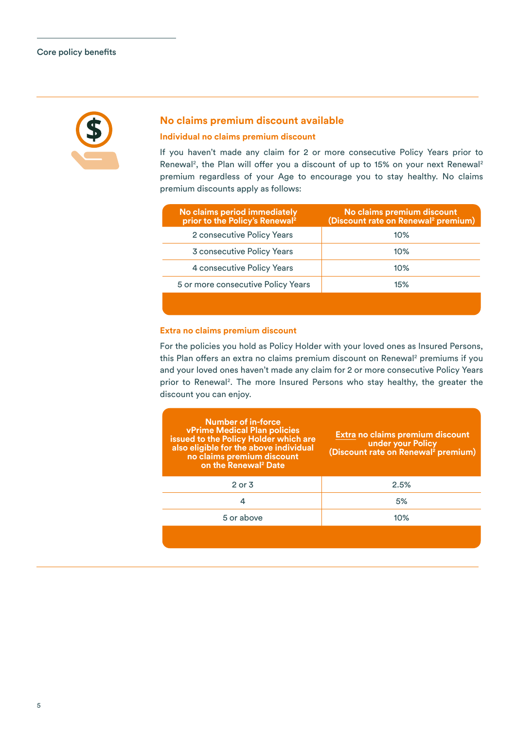

### **No claims premium discount available**

### **Individual no claims premium discount**

If you haven't made any claim for 2 or more consecutive Policy Years prior to Renewal<sup>2</sup>, the Plan will offer you a discount of up to 15% on your next Renewal<sup>2</sup> premium regardless of your Age to encourage you to stay healthy. No claims premium discounts apply as follows:

| No claims period immediately<br>prior to the Policy's Renewal <sup>2</sup> | No claims premium discount<br>(Discount rate on Renewal <sup>2</sup> premium) |
|----------------------------------------------------------------------------|-------------------------------------------------------------------------------|
| 2 consecutive Policy Years                                                 | 10%                                                                           |
| 3 consecutive Policy Years                                                 | $10\%$                                                                        |
| 4 consecutive Policy Years                                                 | $10\%$                                                                        |
| 5 or more consecutive Policy Years                                         | 15%                                                                           |
|                                                                            |                                                                               |

### **Extra no claims premium discount**

For the policies you hold as Policy Holder with your loved ones as Insured Persons, this Plan offers an extra no claims premium discount on Renewal<sup>2</sup> premiums if you and your loved ones haven't made any claim for 2 or more consecutive Policy Years prior to Renewal<sup>2</sup>. The more Insured Persons who stay healthy, the greater the discount you can enjoy.

| Number of in-force<br><b>vPrime Medical Plan policies</b><br>issued to the Policy Holder which are<br>also eligible for the above individual<br>no claims premium discount<br>on the Renewal <sup>2</sup> Date | Extra no claims premium discount<br>under your Policy<br>(Discount rate on Renewal <sup>2</sup> premium) |
|----------------------------------------------------------------------------------------------------------------------------------------------------------------------------------------------------------------|----------------------------------------------------------------------------------------------------------|
| $2$ or $3$                                                                                                                                                                                                     | 2.5%                                                                                                     |
| 4                                                                                                                                                                                                              | 5%                                                                                                       |
| 5 or above                                                                                                                                                                                                     | 10%                                                                                                      |
|                                                                                                                                                                                                                |                                                                                                          |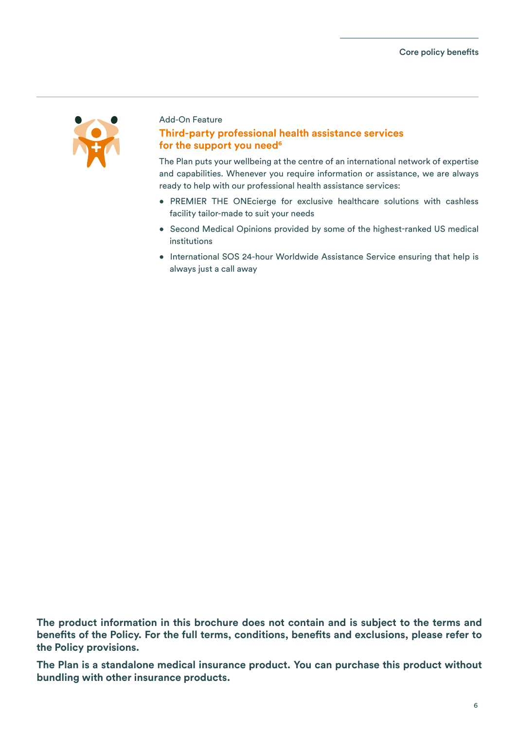

### Add-On Feature

### **Third-party professional health assistance services** for the support you need<sup>6</sup>

The Plan puts your wellbeing at the centre of an international network of expertise and capabilities. Whenever you require information or assistance, we are always ready to help with our professional health assistance services:

- PREMIER THE ONEcierge for exclusive healthcare solutions with cashless facility tailor-made to suit your needs
- Second Medical Opinions provided by some of the highest-ranked US medical institutions
- International SOS 24-hour Worldwide Assistance Service ensuring that help is always just a call away

**The product information in this brochure does not contain and is subject to the terms and benefits of the Policy. For the full terms, conditions, benefits and exclusions, please refer to the Policy provisions.** 

**The Plan is a standalone medical insurance product. You can purchase this product without bundling with other insurance products.**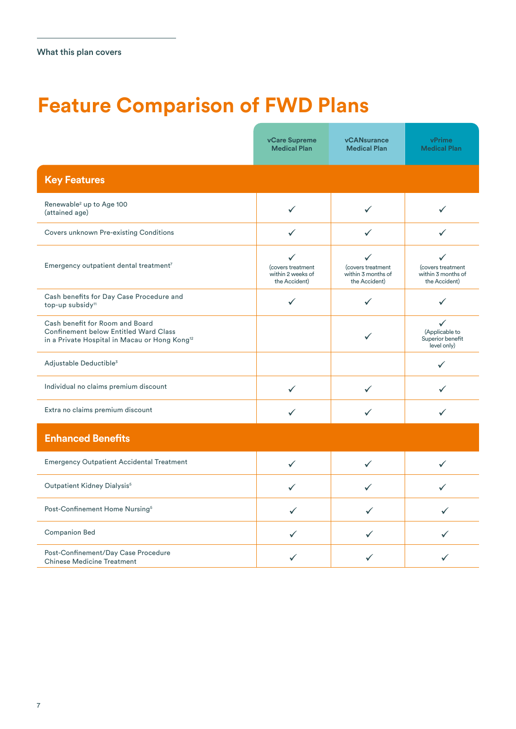# **Feature Comparison of FWD Plans**

|                                                                                                                                              | <b>vCare Supreme</b><br><b>Medical Plan</b>                             | <b>vCANsurance</b><br><b>Medical Plan</b>                     | vPrime<br><b>Medical Plan</b>                                     |  |
|----------------------------------------------------------------------------------------------------------------------------------------------|-------------------------------------------------------------------------|---------------------------------------------------------------|-------------------------------------------------------------------|--|
| <b>Key Features</b>                                                                                                                          |                                                                         |                                                               |                                                                   |  |
| Renewable <sup>2</sup> up to Age 100<br>(attained age)                                                                                       | $\checkmark$                                                            | ✓                                                             | ✓                                                                 |  |
| Covers unknown Pre-existing Conditions                                                                                                       | ✓                                                                       | ✓                                                             | ✓                                                                 |  |
| Emergency outpatient dental treatment7                                                                                                       | $\checkmark$<br>(covers treatment<br>within 2 weeks of<br>the Accident) | ✓<br>(covers treatment<br>within 3 months of<br>the Accident) | ✓<br>(covers treatment<br>within 3 months of<br>the Accident)     |  |
| Cash benefits for Day Case Procedure and<br>top-up subsidy <sup>11</sup>                                                                     | $\checkmark$                                                            |                                                               |                                                                   |  |
| Cash benefit for Room and Board<br><b>Confinement below Entitled Ward Class</b><br>in a Private Hospital in Macau or Hong Kong <sup>12</sup> |                                                                         |                                                               | $\checkmark$<br>(Applicable to<br>Superior benefit<br>level only) |  |
| Adjustable Deductible <sup>3</sup>                                                                                                           |                                                                         |                                                               | ✓                                                                 |  |
| Individual no claims premium discount                                                                                                        | $\checkmark$                                                            | ✓                                                             | ✓                                                                 |  |
| Extra no claims premium discount                                                                                                             | $\checkmark$                                                            | ✓                                                             | ✓                                                                 |  |
| <b>Enhanced Benefits</b>                                                                                                                     |                                                                         |                                                               |                                                                   |  |
| <b>Emergency Outpatient Accidental Treatment</b>                                                                                             | $\checkmark$                                                            | ✓                                                             | ✓                                                                 |  |
| Outpatient Kidney Dialysis <sup>5</sup>                                                                                                      | ✓                                                                       | ✓                                                             | ✓                                                                 |  |
| Post-Confinement Home Nursing <sup>5</sup>                                                                                                   | ✓                                                                       | ✓                                                             | ✓                                                                 |  |
| <b>Companion Bed</b>                                                                                                                         | ✓                                                                       | ✓                                                             |                                                                   |  |
| Post-Confinement/Day Case Procedure<br><b>Chinese Medicine Treatment</b>                                                                     | ✓                                                                       | ✓                                                             |                                                                   |  |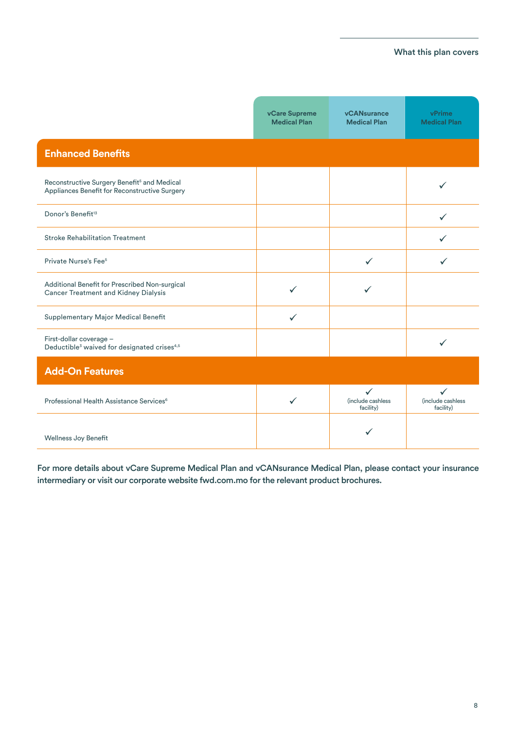### What this plan covers

|                                                                                                          | vCare Supreme<br><b>Medical Plan</b> | <b>vCANsurance</b><br><b>Medical Plan</b>      | vPrime<br><b>Medical Plan</b>                  |
|----------------------------------------------------------------------------------------------------------|--------------------------------------|------------------------------------------------|------------------------------------------------|
| <b>Enhanced Benefits</b>                                                                                 |                                      |                                                |                                                |
| Reconstructive Surgery Benefit <sup>5</sup> and Medical<br>Appliances Benefit for Reconstructive Surgery |                                      |                                                | ✓                                              |
| Donor's Benefit <sup>13</sup>                                                                            |                                      |                                                | $\checkmark$                                   |
| <b>Stroke Rehabilitation Treatment</b>                                                                   |                                      |                                                | ✓                                              |
| Private Nurse's Fee <sup>5</sup>                                                                         |                                      | $\checkmark$                                   |                                                |
| Additional Benefit for Prescribed Non-surgical<br>Cancer Treatment and Kidney Dialysis                   |                                      |                                                |                                                |
| Supplementary Major Medical Benefit                                                                      | $\checkmark$                         |                                                |                                                |
| First-dollar coverage -<br>Deductible <sup>3</sup> waived for designated crises <sup>4,5</sup>           |                                      |                                                | ✓                                              |
| <b>Add-On Features</b>                                                                                   |                                      |                                                |                                                |
| Professional Health Assistance Services <sup>6</sup>                                                     | ✓                                    | $\checkmark$<br>(include cashless<br>facility) | $\checkmark$<br>(include cashless<br>facility) |
| Wellness Joy Benefit                                                                                     |                                      |                                                |                                                |

For more details about vCare Supreme Medical Plan and vCANsurance Medical Plan, please contact your insurance intermediary or visit our corporate website fwd.com.mo for the relevant product brochures.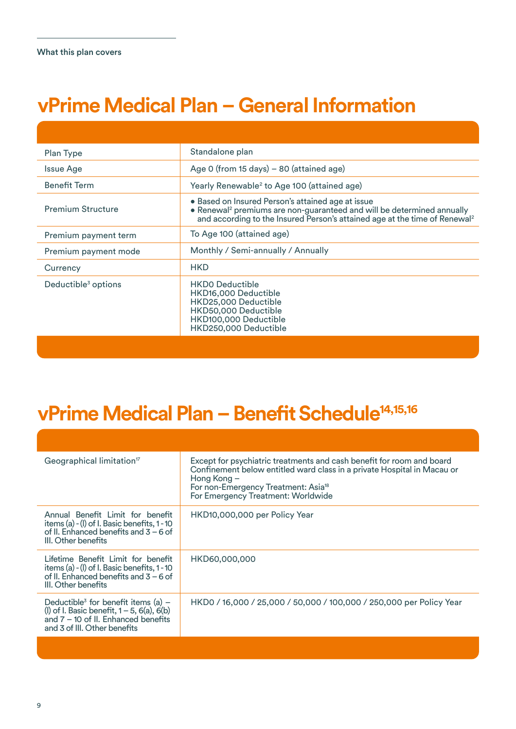# **vPrime Medical Plan – General Information**

| Plan Type                       | Standalone plan                                                                                                                                                                                                                   |
|---------------------------------|-----------------------------------------------------------------------------------------------------------------------------------------------------------------------------------------------------------------------------------|
| Issue Age                       | Age 0 (from 15 days) - 80 (attained age)                                                                                                                                                                                          |
| <b>Benefit Term</b>             | Yearly Renewable <sup>2</sup> to Age 100 (attained age)                                                                                                                                                                           |
| <b>Premium Structure</b>        | • Based on Insured Person's attained age at issue<br>• Renewal <sup>2</sup> premiums are non-guaranteed and will be determined annually<br>and according to the Insured Person's attained age at the time of Renewal <sup>2</sup> |
| Premium payment term            | To Age 100 (attained age)                                                                                                                                                                                                         |
| Premium payment mode            | Monthly / Semi-annually / Annually                                                                                                                                                                                                |
| Currency                        | <b>HKD</b>                                                                                                                                                                                                                        |
| Deductible <sup>3</sup> options | <b>HKDO Deductible</b><br>HKD16,000 Deductible<br>HKD25,000 Deductible<br>HKD50,000 Deductible<br>HKD100,000 Deductible<br>HKD250,000 Deductible                                                                                  |

| Geographical limitation <sup>17</sup>                                                                                                                                            | Except for psychiatric treatments and cash benefit for room and board<br>Confinement below entitled ward class in a private Hospital in Macau or<br>Hong Kong -<br>For non-Emergency Treatment: Asia <sup>18</sup><br>For Emergency Treatment: Worldwide |
|----------------------------------------------------------------------------------------------------------------------------------------------------------------------------------|----------------------------------------------------------------------------------------------------------------------------------------------------------------------------------------------------------------------------------------------------------|
| Annual Benefit Limit for benefit<br>items (a) - (I) of I. Basic benefits, 1 - 10<br>of II. Enhanced benefits and $3 - 6$ of<br>III. Other benefits                               | HKD10,000,000 per Policy Year                                                                                                                                                                                                                            |
| Lifetime Benefit Limit for benefit<br>items (a) - (I) of I. Basic benefits, 1 - 10<br>of II. Enhanced benefits and $3 - 6$ of<br>III. Other benefits                             | HKD60,000,000                                                                                                                                                                                                                                            |
| Deductible <sup>3</sup> for benefit items (a) $-$<br>(I) of I. Basic benefit, $1 - 5$ , $6(a)$ , $6(b)$<br>and $7 - 10$ of II. Enhanced benefits<br>and 3 of III. Other benefits | HKD0 / 16,000 / 25,000 / 50,000 / 100,000 / 250,000 per Policy Year                                                                                                                                                                                      |
|                                                                                                                                                                                  |                                                                                                                                                                                                                                                          |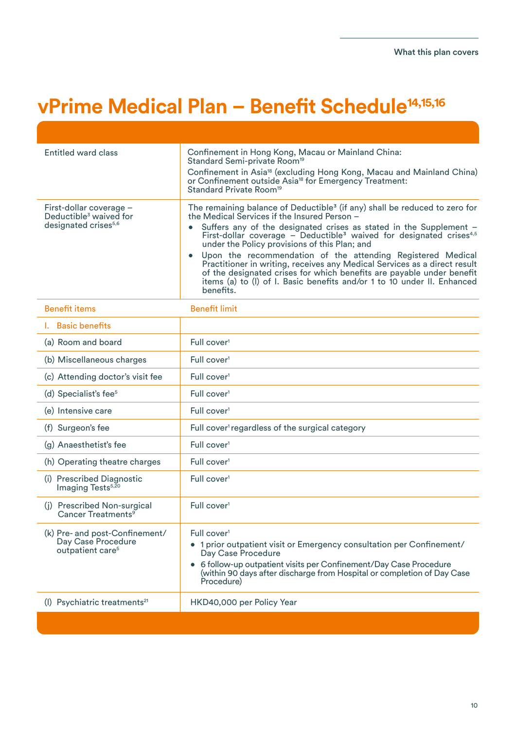| Entitled ward class                                                                               | Confinement in Hong Kong, Macau or Mainland China:<br>Standard Semi-private Room <sup>19</sup><br>Confinement in Asia <sup>18</sup> (excluding Hong Kong, Macau and Mainland China)<br>or Confinement outside Asia <sup>18</sup> for Emergency Treatment:<br>Standard Private Room <sup>19</sup>                                                                                                                                                                                                                                                                                                                                                                          |
|---------------------------------------------------------------------------------------------------|---------------------------------------------------------------------------------------------------------------------------------------------------------------------------------------------------------------------------------------------------------------------------------------------------------------------------------------------------------------------------------------------------------------------------------------------------------------------------------------------------------------------------------------------------------------------------------------------------------------------------------------------------------------------------|
| First-dollar coverage -<br>Deductible <sup>3</sup> waived for<br>designated crises <sup>5,6</sup> | The remaining balance of Deductible <sup>3</sup> (if any) shall be reduced to zero for<br>the Medical Services if the Insured Person -<br>Suffers any of the designated crises as stated in the Supplement -<br>First-dollar coverage - Deductible <sup>3</sup> waived for designated crises <sup>4,5</sup><br>under the Policy provisions of this Plan; and<br>Upon the recommendation of the attending Registered Medical<br>Practitioner in writing, receives any Medical Services as a direct result<br>of the designated crises for which benefits are payable under benefit<br>items (a) to (I) of I. Basic benefits and/or 1 to 10 under II. Enhanced<br>benefits. |
| <b>Benefit items</b>                                                                              | <b>Benefit limit</b>                                                                                                                                                                                                                                                                                                                                                                                                                                                                                                                                                                                                                                                      |
| <b>I.</b> Basic benefits                                                                          |                                                                                                                                                                                                                                                                                                                                                                                                                                                                                                                                                                                                                                                                           |
| (a) Room and board                                                                                | Full cover <sup>1</sup>                                                                                                                                                                                                                                                                                                                                                                                                                                                                                                                                                                                                                                                   |
| (b) Miscellaneous charges                                                                         | Full cover <sup>1</sup>                                                                                                                                                                                                                                                                                                                                                                                                                                                                                                                                                                                                                                                   |
| (c) Attending doctor's visit fee                                                                  | Full cover <sup>1</sup>                                                                                                                                                                                                                                                                                                                                                                                                                                                                                                                                                                                                                                                   |
| (d) Specialist's fee <sup>5</sup>                                                                 | Full cover <sup>1</sup>                                                                                                                                                                                                                                                                                                                                                                                                                                                                                                                                                                                                                                                   |
| (e) Intensive care                                                                                | Full cover <sup>1</sup>                                                                                                                                                                                                                                                                                                                                                                                                                                                                                                                                                                                                                                                   |
| (f) Surgeon's fee                                                                                 | Full cover <sup>1</sup> regardless of the surgical category                                                                                                                                                                                                                                                                                                                                                                                                                                                                                                                                                                                                               |
| (g) Anaesthetist's fee                                                                            | Full cover <sup>1</sup>                                                                                                                                                                                                                                                                                                                                                                                                                                                                                                                                                                                                                                                   |
| (h) Operating theatre charges                                                                     | Full cover <sup>1</sup>                                                                                                                                                                                                                                                                                                                                                                                                                                                                                                                                                                                                                                                   |
| (i) Prescribed Diagnostic<br>Imaging Tests <sup>5,20</sup>                                        | Full cover <sup>1</sup>                                                                                                                                                                                                                                                                                                                                                                                                                                                                                                                                                                                                                                                   |
| (j) Prescribed Non-surgical<br>Cancer Treatments <sup>9</sup>                                     | Full cover <sup>1</sup>                                                                                                                                                                                                                                                                                                                                                                                                                                                                                                                                                                                                                                                   |
| (k) Pre- and post-Confinement/<br>Day Case Procedure<br>outpatient care <sup>5</sup>              | Full cover <sup>1</sup><br>• 1 prior outpatient visit or Emergency consultation per Confinement/<br>Day Case Procedure<br>• 6 follow-up outpatient visits per Confinement/Day Case Procedure<br>(within 90 days after discharge from Hospital or completion of Day Case<br>Procedure)                                                                                                                                                                                                                                                                                                                                                                                     |
| (I) Psychiatric treatments <sup>21</sup>                                                          | HKD40,000 per Policy Year                                                                                                                                                                                                                                                                                                                                                                                                                                                                                                                                                                                                                                                 |
|                                                                                                   |                                                                                                                                                                                                                                                                                                                                                                                                                                                                                                                                                                                                                                                                           |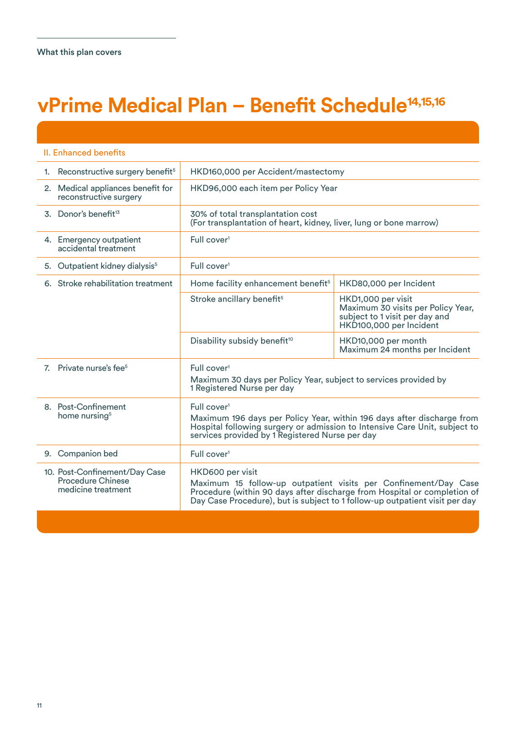| II. Enhanced benefits                                                           |                                                                                                                           |                                                                                                                                                                                                                            |  |  |  |  |
|---------------------------------------------------------------------------------|---------------------------------------------------------------------------------------------------------------------------|----------------------------------------------------------------------------------------------------------------------------------------------------------------------------------------------------------------------------|--|--|--|--|
| 1. Reconstructive surgery benefit <sup>5</sup>                                  |                                                                                                                           | HKD160,000 per Accident/mastectomy                                                                                                                                                                                         |  |  |  |  |
| 2. Medical appliances benefit for<br>reconstructive surgery                     | HKD96,000 each item per Policy Year                                                                                       |                                                                                                                                                                                                                            |  |  |  |  |
| 3. Donor's benefit <sup>13</sup>                                                | 30% of total transplantation cost<br>(For transplantation of heart, kidney, liver, lung or bone marrow)                   |                                                                                                                                                                                                                            |  |  |  |  |
| 4. Emergency outpatient<br>accidental treatment                                 | Full cover <sup>1</sup>                                                                                                   |                                                                                                                                                                                                                            |  |  |  |  |
| 5. Outpatient kidney dialysis <sup>5</sup>                                      | Full cover <sup>1</sup>                                                                                                   |                                                                                                                                                                                                                            |  |  |  |  |
| 6. Stroke rehabilitation treatment                                              | Home facility enhancement benefit <sup>5</sup>                                                                            | HKD80,000 per Incident                                                                                                                                                                                                     |  |  |  |  |
|                                                                                 | Stroke ancillary benefit <sup>5</sup>                                                                                     | HKD1,000 per visit<br>Maximum 30 visits per Policy Year,<br>subject to 1 visit per day and<br>HKD100,000 per Incident                                                                                                      |  |  |  |  |
|                                                                                 | Disability subsidy benefit <sup>10</sup>                                                                                  | HKD10,000 per month<br>Maximum 24 months per Incident                                                                                                                                                                      |  |  |  |  |
| 7. Private nurse's fee <sup>5</sup>                                             | Full cover <sup>1</sup><br>Maximum 30 days per Policy Year, subject to services provided by<br>1 Registered Nurse per day |                                                                                                                                                                                                                            |  |  |  |  |
| 8. Post-Confinement<br>home nursing <sup>5</sup>                                | Full cover <sup>1</sup><br>services provided by 1 Registered Nurse per day                                                | Maximum 196 days per Policy Year, within 196 days after discharge from<br>Hospital following surgery or admission to Intensive Care Unit, subject to                                                                       |  |  |  |  |
| 9. Companion bed                                                                | Full cover <sup>1</sup>                                                                                                   |                                                                                                                                                                                                                            |  |  |  |  |
| 10. Post-Confinement/Day Case<br><b>Procedure Chinese</b><br>medicine treatment | HKD600 per visit                                                                                                          | Maximum 15 follow-up outpatient visits per Confinement/Day Case<br>Procedure (within 90 days after discharge from Hospital or completion of<br>Day Case Procedure), but is subject to 1 follow-up outpatient visit per day |  |  |  |  |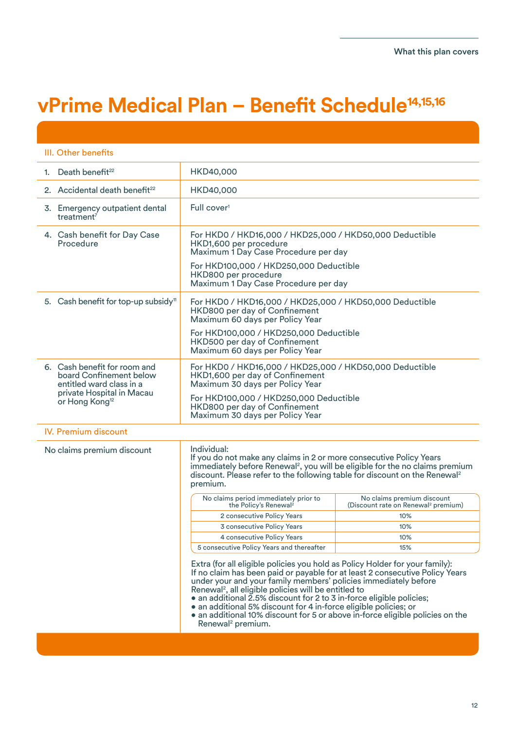| III. Other benefits                                                                                                                                                                                                                                                                                                |                                                                                                                                                                                                                                                                                                                                                                                                                                                                                                                                                                   |                                                                               |  |  |  |  |
|--------------------------------------------------------------------------------------------------------------------------------------------------------------------------------------------------------------------------------------------------------------------------------------------------------------------|-------------------------------------------------------------------------------------------------------------------------------------------------------------------------------------------------------------------------------------------------------------------------------------------------------------------------------------------------------------------------------------------------------------------------------------------------------------------------------------------------------------------------------------------------------------------|-------------------------------------------------------------------------------|--|--|--|--|
| 1. Death benefit <sup>22</sup>                                                                                                                                                                                                                                                                                     | HKD40,000                                                                                                                                                                                                                                                                                                                                                                                                                                                                                                                                                         |                                                                               |  |  |  |  |
| 2. Accidental death benefit <sup>22</sup>                                                                                                                                                                                                                                                                          | HKD40,000                                                                                                                                                                                                                                                                                                                                                                                                                                                                                                                                                         |                                                                               |  |  |  |  |
| 3. Emergency outpatient dental<br>treatment <sup>7</sup>                                                                                                                                                                                                                                                           | Full cover <sup>1</sup>                                                                                                                                                                                                                                                                                                                                                                                                                                                                                                                                           |                                                                               |  |  |  |  |
| 4. Cash benefit for Day Case<br>Procedure                                                                                                                                                                                                                                                                          | For HKD0 / HKD16,000 / HKD25,000 / HKD50,000 Deductible<br>HKD1,600 per procedure<br>Maximum 1 Day Case Procedure per day<br>For HKD100,000 / HKD250,000 Deductible<br>HKD800 per procedure<br>Maximum 1 Day Case Procedure per day                                                                                                                                                                                                                                                                                                                               |                                                                               |  |  |  |  |
| 5. Cash benefit for top-up subsidy <sup>11</sup>                                                                                                                                                                                                                                                                   | For HKD0 / HKD16,000 / HKD25,000 / HKD50,000 Deductible<br>HKD800 per day of Confinement<br>Maximum 60 days per Policy Year<br>For HKD100,000 / HKD250,000 Deductible<br>HKD500 per day of Confinement<br>Maximum 60 days per Policy Year                                                                                                                                                                                                                                                                                                                         |                                                                               |  |  |  |  |
| 6. Cash benefit for room and<br>board Confinement below<br>entitled ward class in a<br>private Hospital in Macau<br>or Hong Kong <sup>12</sup>                                                                                                                                                                     | For HKD0 / HKD16,000 / HKD25,000 / HKD50,000 Deductible<br>HKD1,600 per day of Confinement<br>Maximum 30 days per Policy Year<br>For HKD100,000 / HKD250,000 Deductible<br>HKD800 per day of Confinement<br>Maximum 30 days per Policy Year                                                                                                                                                                                                                                                                                                                       |                                                                               |  |  |  |  |
| <b>IV. Premium discount</b>                                                                                                                                                                                                                                                                                        |                                                                                                                                                                                                                                                                                                                                                                                                                                                                                                                                                                   |                                                                               |  |  |  |  |
| Individual:<br>No claims premium discount<br>If you do not make any claims in 2 or more consecutive Policy Years<br>immediately before Renewal <sup>2</sup> , you will be eligible for the no claims premium<br>discount. Please refer to the following table for discount on the Renewal <sup>2</sup><br>premium. |                                                                                                                                                                                                                                                                                                                                                                                                                                                                                                                                                                   |                                                                               |  |  |  |  |
|                                                                                                                                                                                                                                                                                                                    | No claims period immediately prior to<br>the Policy's Renewal <sup>2</sup>                                                                                                                                                                                                                                                                                                                                                                                                                                                                                        | No claims premium discount<br>(Discount rate on Renewal <sup>2</sup> premium) |  |  |  |  |
|                                                                                                                                                                                                                                                                                                                    | 2 consecutive Policy Years                                                                                                                                                                                                                                                                                                                                                                                                                                                                                                                                        | 10%                                                                           |  |  |  |  |
|                                                                                                                                                                                                                                                                                                                    | 3 consecutive Policy Years                                                                                                                                                                                                                                                                                                                                                                                                                                                                                                                                        | 10%                                                                           |  |  |  |  |
|                                                                                                                                                                                                                                                                                                                    | 4 consecutive Policy Years                                                                                                                                                                                                                                                                                                                                                                                                                                                                                                                                        | 10%                                                                           |  |  |  |  |
|                                                                                                                                                                                                                                                                                                                    | 5 consecutive Policy Years and thereafter                                                                                                                                                                                                                                                                                                                                                                                                                                                                                                                         | 15%                                                                           |  |  |  |  |
|                                                                                                                                                                                                                                                                                                                    | Extra (for all eligible policies you hold as Policy Holder for your family):<br>If no claim has been paid or payable for at least 2 consecutive Policy Years<br>under your and your family members' policies immediately before<br>Renewal <sup>2</sup> , all eligible policies will be entitled to<br>• an additional 2.5% discount for 2 to 3 in-force eligible policies;<br>• an additional 5% discount for 4 in-force eligible policies; or<br>• an additional 10% discount for 5 or above in-force eligible policies on the<br>Renewal <sup>2</sup> premium. |                                                                               |  |  |  |  |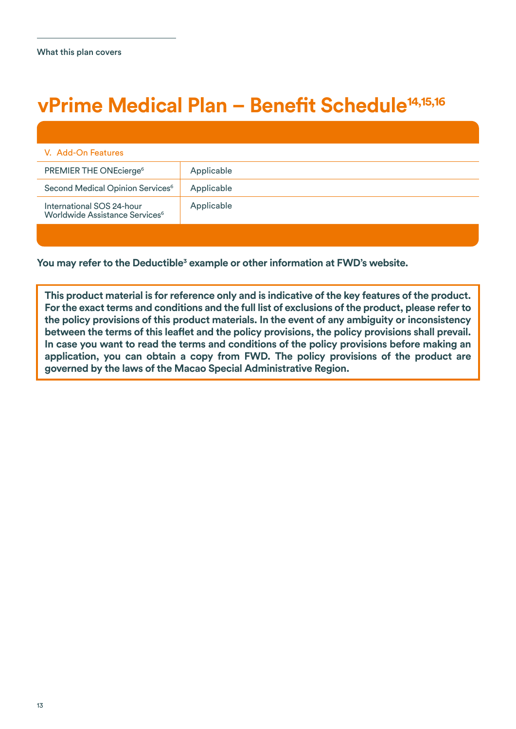| V. Add-On Features                                                      |            |
|-------------------------------------------------------------------------|------------|
| PREMIER THE ONEcierge <sup>6</sup>                                      | Applicable |
| Second Medical Opinion Services <sup>6</sup>                            | Applicable |
| International SOS 24-hour<br>Worldwide Assistance Services <sup>6</sup> | Applicable |

You may refer to the Deductible<sup>3</sup> example or other information at FWD's website.

**This product material is for reference only and is indicative of the key features of the product. For the exact terms and conditions and the full list of exclusions of the product, please refer to the policy provisions of this product materials. In the event of any ambiguity or inconsistency between the terms of this leaflet and the policy provisions, the policy provisions shall prevail. In case you want to read the terms and conditions of the policy provisions before making an application, you can obtain a copy from FWD. The policy provisions of the product are governed by the laws of the Macao Special Administrative Region.**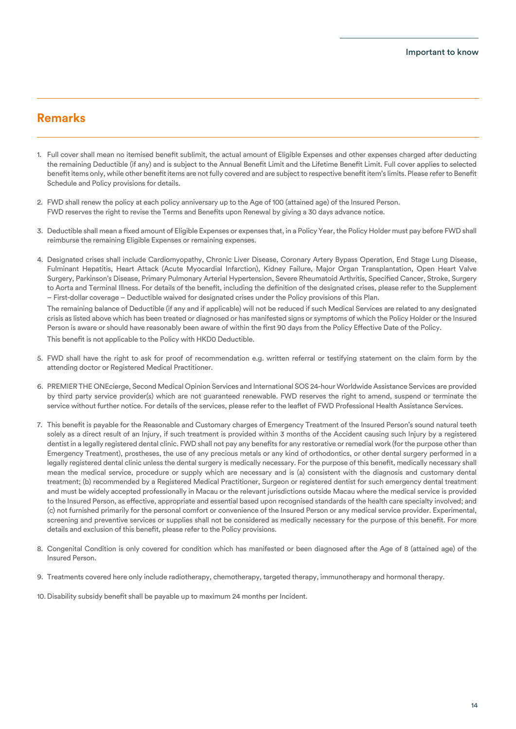### **Remarks**

- 1. Full cover shall mean no itemised benefit sublimit, the actual amount of Eligible Expenses and other expenses charged after deducting the remaining Deductible (if any) and is subject to the Annual Benefit Limit and the Lifetime Benefit Limit. Full cover applies to selected benefit items only, while other benefit items are not fully covered and are subject to respective benefit item's limits. Please refer to Benefit Schedule and Policy provisions for details.
- 2. FWD shall renew the policy at each policy anniversary up to the Age of 100 (attained age) of the Insured Person. FWD reserves the right to revise the Terms and Benefits upon Renewal by giving a 30 days advance notice.
- 3. Deductible shall mean a fixed amount of Eligible Expenses or expenses that, in a Policy Year, the Policy Holder must pay before FWD shall reimburse the remaining Eligible Expenses or remaining expenses.
- 4. Designated crises shall include Cardiomyopathy, Chronic Liver Disease, Coronary Artery Bypass Operation, End Stage Lung Disease, Fulminant Hepatitis, Heart Attack (Acute Myocardial Infarction), Kidney Failure, Major Organ Transplantation, Open Heart Valve Surgery, Parkinson's Disease, Primary Pulmonary Arterial Hypertension, Severe Rheumatoid Arthritis, Specified Cancer, Stroke, Surgery to Aorta and Terminal Illness. For details of the benefit, including the definition of the designated crises, please refer to the Supplement – First-dollar coverage – Deductible waived for designated crises under the Policy provisions of this Plan.

 The remaining balance of Deductible (if any and if applicable) will not be reduced if such Medical Services are related to any designated crisis as listed above which has been treated or diagnosed or has manifested signs or symptoms of which the Policy Holder or the Insured Person is aware or should have reasonably been aware of within the first 90 days from the Policy Effective Date of the Policy. This benefit is not applicable to the Policy with HKD0 Deductible.

- 5. FWD shall have the right to ask for proof of recommendation e.g. written referral or testifying statement on the claim form by the attending doctor or Registered Medical Practitioner.
- 6. PREMIER THE ONEcierge, Second Medical Opinion Services and International SOS 24-hour Worldwide Assistance Services are provided by third party service provider(s) which are not guaranteed renewable. FWD reserves the right to amend, suspend or terminate the service without further notice. For details of the services, please refer to the leaflet of FWD Professional Health Assistance Services.
- 7. This benefit is payable for the Reasonable and Customary charges of Emergency Treatment of the Insured Person's sound natural teeth solely as a direct result of an Injury, if such treatment is provided within 3 months of the Accident causing such Injury by a registered dentist in a legally registered dental clinic. FWD shall not pay any benefits for any restorative or remedial work (for the purpose other than Emergency Treatment), prostheses, the use of any precious metals or any kind of orthodontics, or other dental surgery performed in a legally registered dental clinic unless the dental surgery is medically necessary. For the purpose of this benefit, medically necessary shall mean the medical service, procedure or supply which are necessary and is (a) consistent with the diagnosis and customary dental treatment; (b) recommended by a Registered Medical Practitioner, Surgeon or registered dentist for such emergency dental treatment and must be widely accepted professionally in Macau or the relevant jurisdictions outside Macau where the medical service is provided to the Insured Person, as effective, appropriate and essential based upon recognised standards of the health care specialty involved; and (c) not furnished primarily for the personal comfort or convenience of the Insured Person or any medical service provider. Experimental, screening and preventive services or supplies shall not be considered as medically necessary for the purpose of this benefit. For more details and exclusion of this benefit, please refer to the Policy provisions.
- 8. Congenital Condition is only covered for condition which has manifested or been diagnosed after the Age of 8 (attained age) of the Insured Person.
- 9. Treatments covered here only include radiotherapy, chemotherapy, targeted therapy, immunotherapy and hormonal therapy.
- 10. Disability subsidy benefit shall be payable up to maximum 24 months per Incident.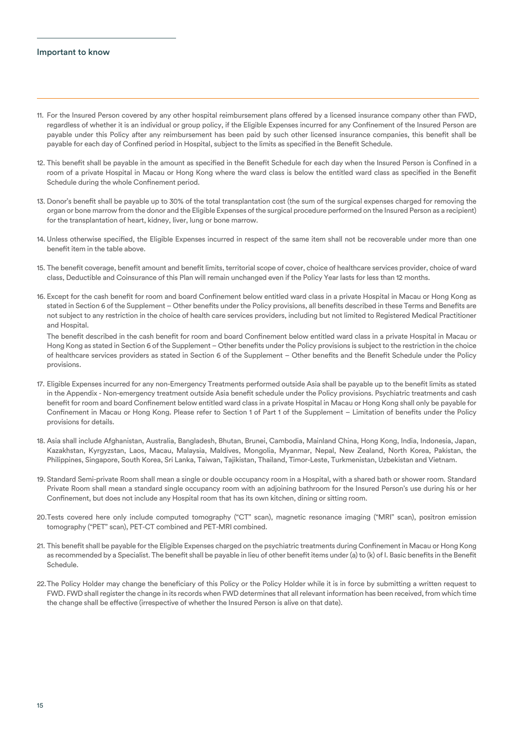### Important to know

- 11. For the Insured Person covered by any other hospital reimbursement plans offered by a licensed insurance company other than FWD, regardless of whether it is an individual or group policy, if the Eligible Expenses incurred for any Confinement of the Insured Person are payable under this Policy after any reimbursement has been paid by such other licensed insurance companies, this benefit shall be payable for each day of Confined period in Hospital, subject to the limits as specified in the Benefit Schedule.
- 12. This benefit shall be payable in the amount as specified in the Benefit Schedule for each day when the Insured Person is Confined in a room of a private Hospital in Macau or Hong Kong where the ward class is below the entitled ward class as specified in the Benefit Schedule during the whole Confinement period.
- 13. Donor's benefit shall be payable up to 30% of the total transplantation cost (the sum of the surgical expenses charged for removing the organ or bone marrow from the donor and the Eligible Expenses of the surgical procedure performed on the Insured Person as a recipient) for the transplantation of heart, kidney, liver, lung or bone marrow.
- 14. Unless otherwise specified, the Eligible Expenses incurred in respect of the same item shall not be recoverable under more than one benefit item in the table above.
- 15. The benefit coverage, benefit amount and benefit limits, territorial scope of cover, choice of healthcare services provider, choice of ward class, Deductible and Coinsurance of this Plan will remain unchanged even if the Policy Year lasts for less than 12 months.
- 16. Except for the cash benefit for room and board Confinement below entitled ward class in a private Hospital in Macau or Hong Kong as stated in Section 6 of the Supplement – Other benefits under the Policy provisions, all benefits described in these Terms and Benefits are not subject to any restriction in the choice of health care services providers, including but not limited to Registered Medical Practitioner and Hospital.

 The benefit described in the cash benefit for room and board Confinement below entitled ward class in a private Hospital in Macau or Hong Kong as stated in Section 6 of the Supplement – Other benefits under the Policy provisions is subject to the restriction in the choice of healthcare services providers as stated in Section 6 of the Supplement – Other benefits and the Benefit Schedule under the Policy provisions.

- 17. Eligible Expenses incurred for any non-Emergency Treatments performed outside Asia shall be payable up to the benefit limits as stated in the Appendix - Non-emergency treatment outside Asia benefit schedule under the Policy provisions. Psychiatric treatments and cash benefit for room and board Confinement below entitled ward class in a private Hospital in Macau or Hong Kong shall only be payable for Confinement in Macau or Hong Kong. Please refer to Section 1 of Part 1 of the Supplement – Limitation of benefits under the Policy provisions for details.
- 18. Asia shall include Afghanistan, Australia, Bangladesh, Bhutan, Brunei, Cambodia, Mainland China, Hong Kong, India, Indonesia, Japan, Kazakhstan, Kyrgyzstan, Laos, Macau, Malaysia, Maldives, Mongolia, Myanmar, Nepal, New Zealand, North Korea, Pakistan, the Philippines, Singapore, South Korea, Sri Lanka, Taiwan, Tajikistan, Thailand, Timor-Leste, Turkmenistan, Uzbekistan and Vietnam.
- 19. Standard Semi-private Room shall mean a single or double occupancy room in a Hospital, with a shared bath or shower room. Standard Private Room shall mean a standard single occupancy room with an adjoining bathroom for the Insured Person's use during his or her Confinement, but does not include any Hospital room that has its own kitchen, dining or sitting room.
- 20. Tests covered here only include computed tomography ("CT" scan), magnetic resonance imaging ("MRI" scan), positron emission tomography ("PET" scan), PET-CT combined and PET-MRI combined.
- 21. This benefit shall be payable for the Eligible Expenses charged on the psychiatric treatments during Confinement in Macau or Hong Kong as recommended by a Specialist. The benefit shall be payable in lieu of other benefit items under (a) to (k) of I. Basic benefits in the Benefit Schedule.
- 22. The Policy Holder may change the beneficiary of this Policy or the Policy Holder while it is in force by submitting a written request to FWD. FWD shall register the change in its records when FWD determines that all relevant information has been received, from which time the change shall be effective (irrespective of whether the Insured Person is alive on that date).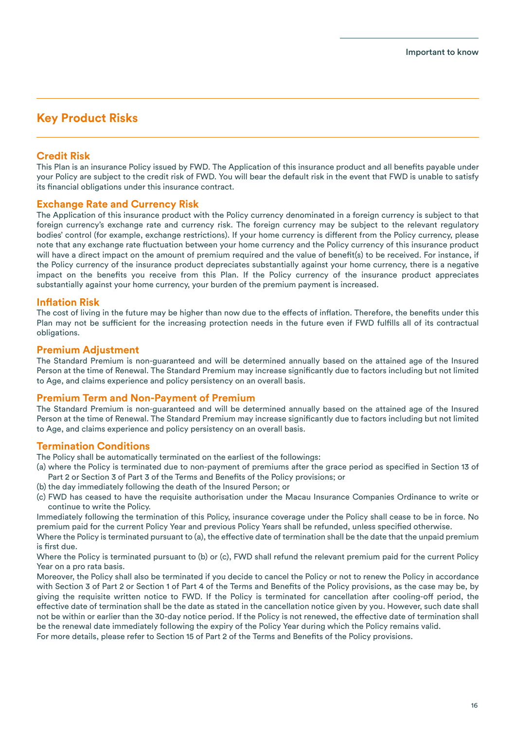### **Key Product Risks**

### **Credit Risk**

This Plan is an insurance Policy issued by FWD. The Application of this insurance product and all benefits payable under your Policy are subject to the credit risk of FWD. You will bear the default risk in the event that FWD is unable to satisfy its financial obligations under this insurance contract.

### **Exchange Rate and Currency Risk**

The Application of this insurance product with the Policy currency denominated in a foreign currency is subject to that foreign currency's exchange rate and currency risk. The foreign currency may be subject to the relevant regulatory bodies' control (for example, exchange restrictions). If your home currency is different from the Policy currency, please note that any exchange rate fluctuation between your home currency and the Policy currency of this insurance product will have a direct impact on the amount of premium required and the value of benefit(s) to be received. For instance, if the Policy currency of the insurance product depreciates substantially against your home currency, there is a negative impact on the benefits you receive from this Plan. If the Policy currency of the insurance product appreciates substantially against your home currency, your burden of the premium payment is increased.

### **Inflation Risk**

The cost of living in the future may be higher than now due to the effects of inflation. Therefore, the benefits under this Plan may not be sufficient for the increasing protection needs in the future even if FWD fulfills all of its contractual obligations.

### **Premium Adjustment**

The Standard Premium is non-guaranteed and will be determined annually based on the attained age of the Insured Person at the time of Renewal. The Standard Premium may increase significantly due to factors including but not limited to Age, and claims experience and policy persistency on an overall basis.

### **Premium Term and Non-Payment of Premium**

The Standard Premium is non-guaranteed and will be determined annually based on the attained age of the Insured Person at the time of Renewal. The Standard Premium may increase significantly due to factors including but not limited to Age, and claims experience and policy persistency on an overall basis.

### **Termination Conditions**

The Policy shall be automatically terminated on the earliest of the followings:

- (a) where the Policy is terminated due to non-payment of premiums after the grace period as specified in Section 13 of Part 2 or Section 3 of Part 3 of the Terms and Benefits of the Policy provisions; or
- (b) the day immediately following the death of the Insured Person; or
- (c) FWD has ceased to have the requisite authorisation under the Macau Insurance Companies Ordinance to write or continue to write the Policy.

Immediately following the termination of this Policy, insurance coverage under the Policy shall cease to be in force. No premium paid for the current Policy Year and previous Policy Years shall be refunded, unless specified otherwise.

Where the Policy is terminated pursuant to (a), the effective date of termination shall be the date that the unpaid premium is first due.

Where the Policy is terminated pursuant to (b) or (c), FWD shall refund the relevant premium paid for the current Policy Year on a pro rata basis.

Moreover, the Policy shall also be terminated if you decide to cancel the Policy or not to renew the Policy in accordance with Section 3 of Part 2 or Section 1 of Part 4 of the Terms and Benefits of the Policy provisions, as the case may be, by giving the requisite written notice to FWD. If the Policy is terminated for cancellation after cooling-off period, the effective date of termination shall be the date as stated in the cancellation notice given by you. However, such date shall not be within or earlier than the 30-day notice period. If the Policy is not renewed, the effective date of termination shall be the renewal date immediately following the expiry of the Policy Year during which the Policy remains valid.

For more details, please refer to Section 15 of Part 2 of the Terms and Benefits of the Policy provisions.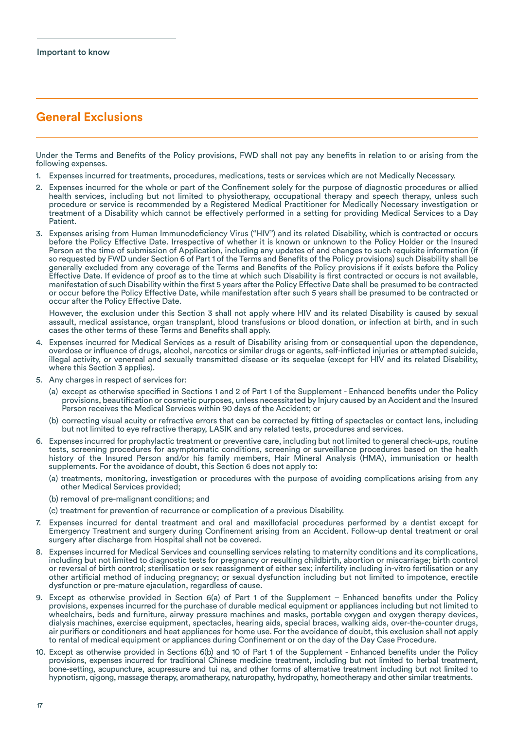### **General Exclusions**

Under the Terms and Benefits of the Policy provisions, FWD shall not pay any benefits in relation to or arising from the following expenses.

- 1. Expenses incurred for treatments, procedures, medications, tests or services which are not Medically Necessary.
- 2. Expenses incurred for the whole or part of the Confinement solely for the purpose of diagnostic procedures or allied health services, including but not limited to physiotherapy, occupational therapy and speech therapy, unless such procedure or service is recommended by a Registered Medical Practitioner for Medically Necessary investigation or treatment of a Disability which cannot be effectively performed in a setting for providing Medical Services to a Day Patient.
- 3. Expenses arising from Human Immunodeficiency Virus ("HIV") and its related Disability, which is contracted or occurs before the Policy Effective Date. Irrespective of whether it is known or unknown to the Policy Holder or the Insured Person at the time of submission of Application, including any updates of and changes to such requisite information (if so requested by FWD under Section 6 of Part 1 of the Terms and Benefits of the Policy provisions) such Disability shall be generally excluded from any coverage of the Terms and Benefits of the Policy provisions if it exists before the Policy Effective Date. If evidence of proof as to the time at which such Disability is first contracted or occurs is not available, manifestation of such Disability within the first 5 years after the Policy Effective Date shall be presumed to be contracted or occur before the Policy Effective Date, while manifestation after such 5 years shall be presumed to be contracted or occur after the Policy Effective Date.

 However, the exclusion under this Section 3 shall not apply where HIV and its related Disability is caused by sexual assault, medical assistance, organ transplant, blood transfusions or blood donation, or infection at birth, and in such cases the other terms of these Terms and Benefits shall apply.

- 4. Expenses incurred for Medical Services as a result of Disability arising from or consequential upon the dependence, overdose or influence of drugs, alcohol, narcotics or similar drugs or agents, self-inflicted injuries or attempted suicide, illegal activity, or venereal and sexually transmitted disease or its sequelae (except for HIV and its related Disability, where this Section 3 applies).
- 5. Any charges in respect of services for:
	- (a) except as otherwise specified in Sections 1 and 2 of Part 1 of the Supplement Enhanced benefits under the Policy provisions, beautification or cosmetic purposes, unless necessitated by Injury caused by an Accident and the Insured Person receives the Medical Services within 90 days of the Accident; or
	- (b) correcting visual acuity or refractive errors that can be corrected by fitting of spectacles or contact lens, including but not limited to eye refractive therapy, LASIK and any related tests, procedures and services.
- 6. Expenses incurred for prophylactic treatment or preventive care, including but not limited to general check-ups, routine tests, screening procedures for asymptomatic conditions, screening or surveillance procedures based on the health history of the Insured Person and/or his family members, Hair Mineral Analysis (HMA), immunisation or health supplements. For the avoidance of doubt, this Section 6 does not apply to:
	- (a) treatments, monitoring, investigation or procedures with the purpose of avoiding complications arising from any other Medical Services provided;
	- (b) removal of pre-malignant conditions; and
	- (c) treatment for prevention of recurrence or complication of a previous Disability.
- 7. Expenses incurred for dental treatment and oral and maxillofacial procedures performed by a dentist except for Emergency Treatment and surgery during Confinement arising from an Accident. Follow-up dental treatment or oral surgery after discharge from Hospital shall not be covered.
- 8. Expenses incurred for Medical Services and counselling services relating to maternity conditions and its complications, including but not limited to diagnostic tests for pregnancy or resulting childbirth, abortion or miscarriage; birth control or reversal of birth control; sterilisation or sex reassignment of either sex; infertility including in-vitro fertilisation or any other artificial method of inducing pregnancy; or sexual dysfunction including but not limited to impotence, erectile dysfunction or pre-mature ejaculation, regardless of cause.
- 9. Except as otherwise provided in Section 6(a) of Part 1 of the Supplement Enhanced benefits under the Policy provisions, expenses incurred for the purchase of durable medical equipment or appliances including but not limited to wheelchairs, beds and furniture, airway pressure machines and masks, portable oxygen and oxygen therapy devices, dialysis machines, exercise equipment, spectacles, hearing aids, special braces, walking aids, over-the-counter drugs, air purifiers or conditioners and heat appliances for home use. For the avoidance of doubt, this exclusion shall not apply to rental of medical equipment or appliances during Confinement or on the day of the Day Case Procedure.
- 10. Except as otherwise provided in Sections 6(b) and 10 of Part 1 of the Supplement Enhanced benefits under the Policy provisions, expenses incurred for traditional Chinese medicine treatment, including but not limited to herbal treatment, bone-setting, acupuncture, acupressure and tui na, and other forms of alternative treatment including but not limited to hypnotism, qigong, massage therapy, aromatherapy, naturopathy, hydropathy, homeotherapy and other similar treatments.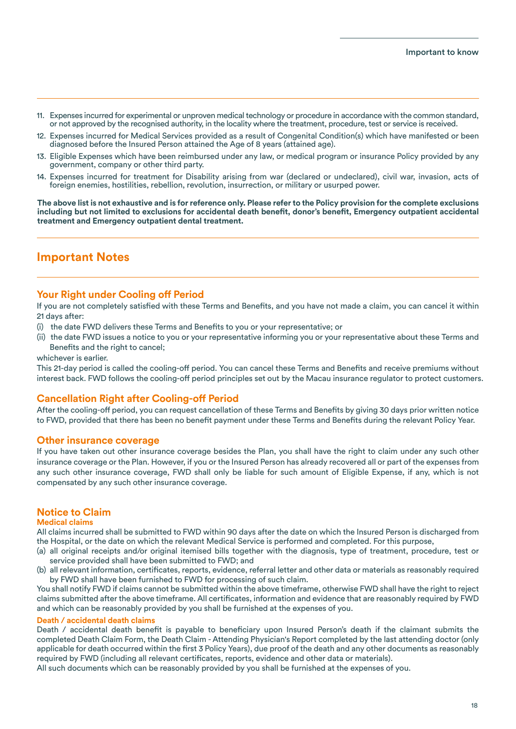- 11. Expenses incurred for experimental or unproven medical technology or procedure in accordance with the common standard, or not approved by the recognised authority, in the locality where the treatment, procedure, test or service is received.
- 12. Expenses incurred for Medical Services provided as a result of Congenital Condition(s) which have manifested or been diagnosed before the Insured Person attained the Age of 8 years (attained age).
- 13. Eligible Expenses which have been reimbursed under any law, or medical program or insurance Policy provided by any government, company or other third party.
- 14. Expenses incurred for treatment for Disability arising from war (declared or undeclared), civil war, invasion, acts of foreign enemies, hostilities, rebellion, revolution, insurrection, or military or usurped power.

**The above list is not exhaustive and is for reference only. Please refer to the Policy provision for the complete exclusions including but not limited to exclusions for accidental death benefit, donor's benefit, Emergency outpatient accidental treatment and Emergency outpatient dental treatment.**

### **Important Notes**

### **Your Right under Cooling off Period**

If you are not completely satisfied with these Terms and Benefits, and you have not made a claim, you can cancel it within 21 days after:

- (i) the date FWD delivers these Terms and Benefits to you or your representative; or
- (ii) the date FWD issues a notice to you or your representative informing you or your representative about these Terms and Benefits and the right to cancel;

whichever is earlier.

This 21-day period is called the cooling-off period. You can cancel these Terms and Benefits and receive premiums without interest back. FWD follows the cooling-off period principles set out by the Macau insurance regulator to protect customers.

### **Cancellation Right after Cooling-off Period**

After the cooling-off period, you can request cancellation of these Terms and Benefits by giving 30 days prior written notice to FWD, provided that there has been no benefit payment under these Terms and Benefits during the relevant Policy Year.

### **Other insurance coverage**

If you have taken out other insurance coverage besides the Plan, you shall have the right to claim under any such other insurance coverage or the Plan. However, if you or the Insured Person has already recovered all or part of the expenses from any such other insurance coverage, FWD shall only be liable for such amount of Eligible Expense, if any, which is not compensated by any such other insurance coverage.

### **Notice to Claim**

### **Medical claims**

All claims incurred shall be submitted to FWD within 90 days after the date on which the Insured Person is discharged from the Hospital, or the date on which the relevant Medical Service is performed and completed. For this purpose,

- (a) all original receipts and/or original itemised bills together with the diagnosis, type of treatment, procedure, test or service provided shall have been submitted to FWD; and
- (b) all relevant information, certificates, reports, evidence, referral letter and other data or materials as reasonably required by FWD shall have been furnished to FWD for processing of such claim.

You shall notify FWD if claims cannot be submitted within the above timeframe, otherwise FWD shall have the right to reject claims submitted after the above timeframe. All certificates, information and evidence that are reasonably required by FWD and which can be reasonably provided by you shall be furnished at the expenses of you.

### **Death / accidental death claims**

Death / accidental death benefit is payable to beneficiary upon Insured Person's death if the claimant submits the completed Death Claim Form, the Death Claim - Attending Physician's Report completed by the last attending doctor (only applicable for death occurred within the first 3 Policy Years), due proof of the death and any other documents as reasonably required by FWD (including all relevant certificates, reports, evidence and other data or materials).

All such documents which can be reasonably provided by you shall be furnished at the expenses of you.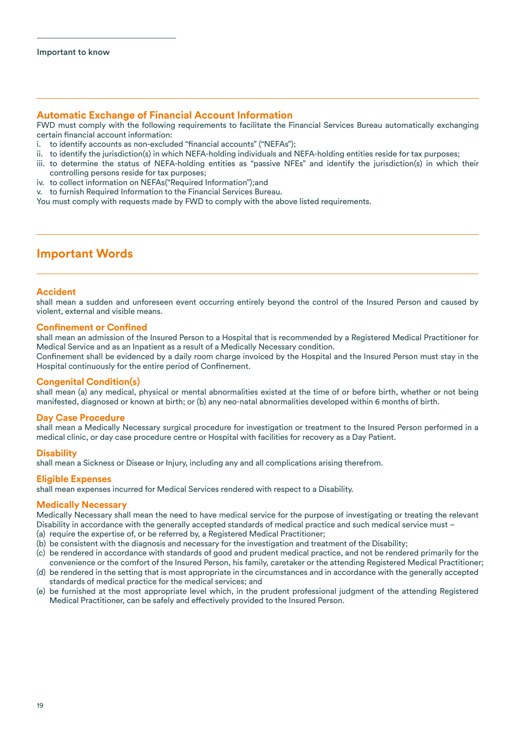### **Automatic Exchange of Financial Account Information**

FWD must comply with the following requirements to facilitate the Financial Services Bureau automatically exchanging certain financial account information:

- i. to identify accounts as non-excluded "financial accounts" ("NEFAs");
- ii. to identify the jurisdiction(s) in which NEFA-holding individuals and NEFA-holding entities reside for tax purposes;
- iii. to determine the status of NEFA-holding entities as "passive NFEs" and identify the jurisdiction(s) in which their controlling persons reside for tax purposes;
- iv. to collect information on NEFAs("Required Information");and
- v. to furnish Required Information to the Financial Services Bureau.

You must comply with requests made by FWD to comply with the above listed requirements.

### **Important Words**

### **Accident**

shall mean a sudden and unforeseen event occurring entirely beyond the control of the Insured Person and caused by violent, external and visible means.

### **Confinement or Confined**

shall mean an admission of the Insured Person to a Hospital that is recommended by a Registered Medical Practitioner for Medical Service and as an Inpatient as a result of a Medically Necessary condition.

Confinement shall be evidenced by a daily room charge invoiced by the Hospital and the Insured Person must stay in the Hospital continuously for the entire period of Confinement.

### **Congenital Condition(s)**

shall mean (a) any medical, physical or mental abnormalities existed at the time of or before birth, whether or not being manifested, diagnosed or known at birth; or (b) any neo-natal abnormalities developed within 6 months of birth.

### **Day Case Procedure**

shall mean a Medically Necessary surgical procedure for investigation or treatment to the Insured Person performed in a medical clinic, or day case procedure centre or Hospital with facilities for recovery as a Day Patient.

### **Disability**

shall mean a Sickness or Disease or Injury, including any and all complications arising therefrom.

### **Eligible Expenses**

shall mean expenses incurred for Medical Services rendered with respect to a Disability.

### **Medically Necessary**

Medically Necessary shall mean the need to have medical service for the purpose of investigating or treating the relevant Disability in accordance with the generally accepted standards of medical practice and such medical service must –

- (a) require the expertise of, or be referred by, a Registered Medical Practitioner;
- (b) be consistent with the diagnosis and necessary for the investigation and treatment of the Disability;
- (c) be rendered in accordance with standards of good and prudent medical practice, and not be rendered primarily for the convenience or the comfort of the Insured Person, his family, caretaker or the attending Registered Medical Practitioner;
- (d) be rendered in the setting that is most appropriate in the circumstances and in accordance with the generally accepted standards of medical practice for the medical services; and
- (e) be furnished at the most appropriate level which, in the prudent professional judgment of the attending Registered Medical Practitioner, can be safely and effectively provided to the Insured Person.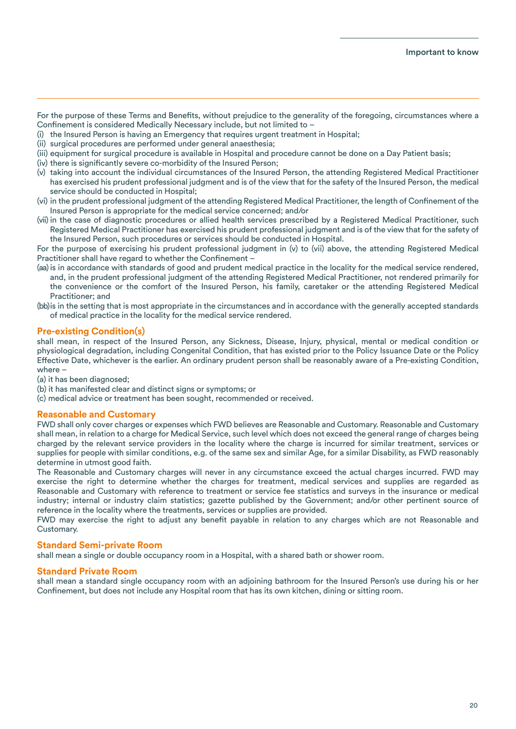For the purpose of these Terms and Benefits, without prejudice to the generality of the foregoing, circumstances where a Confinement is considered Medically Necessary include, but not limited to –

- (i) the Insured Person is having an Emergency that requires urgent treatment in Hospital;
- (ii) surgical procedures are performed under general anaesthesia;
- (iii) equipment for surgical procedure is available in Hospital and procedure cannot be done on a Day Patient basis;
- (iv) there is significantly severe co-morbidity of the Insured Person;
- (v) taking into account the individual circumstances of the Insured Person, the attending Registered Medical Practitioner has exercised his prudent professional judgment and is of the view that for the safety of the Insured Person, the medical service should be conducted in Hospital;
- (vi) in the prudent professional judgment of the attending Registered Medical Practitioner, the length of Confinement of the Insured Person is appropriate for the medical service concerned; and/or
- (vii) in the case of diagnostic procedures or allied health services prescribed by a Registered Medical Practitioner, such Registered Medical Practitioner has exercised his prudent professional judgment and is of the view that for the safety of the Insured Person, such procedures or services should be conducted in Hospital.

For the purpose of exercising his prudent professional judgment in (v) to (vii) above, the attending Registered Medical Practitioner shall have regard to whether the Confinement –

- (aa)is in accordance with standards of good and prudent medical practice in the locality for the medical service rendered, and, in the prudent professional judgment of the attending Registered Medical Practitioner, not rendered primarily for the convenience or the comfort of the Insured Person, his family, caretaker or the attending Registered Medical Practitioner; and
- (bb) is in the setting that is most appropriate in the circumstances and in accordance with the generally accepted standards of medical practice in the locality for the medical service rendered.

### **Pre-existing Condition(s)**

shall mean, in respect of the Insured Person, any Sickness, Disease, Injury, physical, mental or medical condition or physiological degradation, including Congenital Condition, that has existed prior to the Policy Issuance Date or the Policy Effective Date, whichever is the earlier. An ordinary prudent person shall be reasonably aware of a Pre-existing Condition, where –

(a) it has been diagnosed;

- (b) it has manifested clear and distinct signs or symptoms; or
- (c) medical advice or treatment has been sought, recommended or received.

### **Reasonable and Customary**

FWD shall only cover charges or expenses which FWD believes are Reasonable and Customary. Reasonable and Customary shall mean, in relation to a charge for Medical Service, such level which does not exceed the general range of charges being charged by the relevant service providers in the locality where the charge is incurred for similar treatment, services or supplies for people with similar conditions, e.g. of the same sex and similar Age, for a similar Disability, as FWD reasonably determine in utmost good faith.

The Reasonable and Customary charges will never in any circumstance exceed the actual charges incurred. FWD may exercise the right to determine whether the charges for treatment, medical services and supplies are regarded as Reasonable and Customary with reference to treatment or service fee statistics and surveys in the insurance or medical industry; internal or industry claim statistics; gazette published by the Government; and/or other pertinent source of reference in the locality where the treatments, services or supplies are provided.

FWD may exercise the right to adjust any benefit payable in relation to any charges which are not Reasonable and Customary.

### **Standard Semi-private Room**

shall mean a single or double occupancy room in a Hospital, with a shared bath or shower room.

### **Standard Private Room**

shall mean a standard single occupancy room with an adjoining bathroom for the Insured Person's use during his or her Confinement, but does not include any Hospital room that has its own kitchen, dining or sitting room.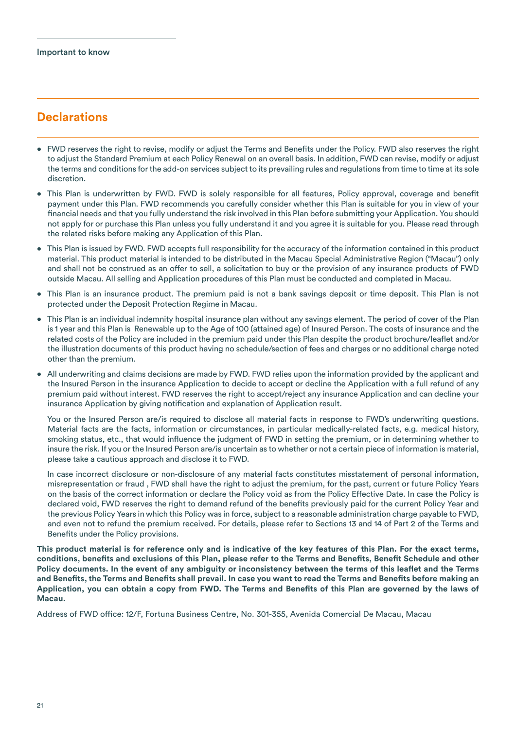### **Declarations**

- FWD reserves the right to revise, modify or adjust the Terms and Benefits under the Policy. FWD also reserves the right to adjust the Standard Premium at each Policy Renewal on an overall basis. In addition, FWD can revise, modify or adjust the terms and conditions for the add-on services subject to its prevailing rules and regulations from time to time at its sole discretion.
- This Plan is underwritten by FWD. FWD is solely responsible for all features, Policy approval, coverage and benefit payment under this Plan. FWD recommends you carefully consider whether this Plan is suitable for you in view of your financial needs and that you fully understand the risk involved in this Plan before submitting your Application. You should not apply for or purchase this Plan unless you fully understand it and you agree it is suitable for you. Please read through the related risks before making any Application of this Plan.
- This Plan is issued by FWD. FWD accepts full responsibility for the accuracy of the information contained in this product material. This product material is intended to be distributed in the Macau Special Administrative Region ("Macau") only and shall not be construed as an offer to sell, a solicitation to buy or the provision of any insurance products of FWD outside Macau. All selling and Application procedures of this Plan must be conducted and completed in Macau.
- This Plan is an insurance product. The premium paid is not a bank savings deposit or time deposit. This Plan is not protected under the Deposit Protection Regime in Macau.
- This Plan is an individual indemnity hospital insurance plan without any savings element. The period of cover of the Plan is 1 year and this Plan is Renewable up to the Age of 100 (attained age) of Insured Person. The costs of insurance and the related costs of the Policy are included in the premium paid under this Plan despite the product brochure/leaflet and/or the illustration documents of this product having no schedule/section of fees and charges or no additional charge noted other than the premium.
- All underwriting and claims decisions are made by FWD. FWD relies upon the information provided by the applicant and the Insured Person in the insurance Application to decide to accept or decline the Application with a full refund of any premium paid without interest. FWD reserves the right to accept/reject any insurance Application and can decline your insurance Application by giving notification and explanation of Application result.

 You or the Insured Person are/is required to disclose all material facts in response to FWD's underwriting questions. Material facts are the facts, information or circumstances, in particular medically-related facts, e.g. medical history, smoking status, etc., that would influence the judgment of FWD in setting the premium, or in determining whether to insure the risk. If you or the Insured Person are/is uncertain as to whether or not a certain piece of information is material, please take a cautious approach and disclose it to FWD.

 In case incorrect disclosure or non-disclosure of any material facts constitutes misstatement of personal information, misrepresentation or fraud , FWD shall have the right to adjust the premium, for the past, current or future Policy Years on the basis of the correct information or declare the Policy void as from the Policy Effective Date. In case the Policy is declared void, FWD reserves the right to demand refund of the benefits previously paid for the current Policy Year and the previous Policy Years in which this Policy was in force, subject to a reasonable administration charge payable to FWD, and even not to refund the premium received. For details, please refer to Sections 13 and 14 of Part 2 of the Terms and Benefits under the Policy provisions.

**This product material is for reference only and is indicative of the key features of this Plan. For the exact terms, conditions, benefits and exclusions of this Plan, please refer to the Terms and Benefits, Benefit Schedule and other Policy documents. In the event of any ambiguity or inconsistency between the terms of this leaflet and the Terms and Benefits, the Terms and Benefits shall prevail. In case you want to read the Terms and Benefits before making an Application, you can obtain a copy from FWD. The Terms and Benefits of this Plan are governed by the laws of Macau.**

Address of FWD office: 12/F, Fortuna Business Centre, No. 301-355, Avenida Comercial De Macau, Macau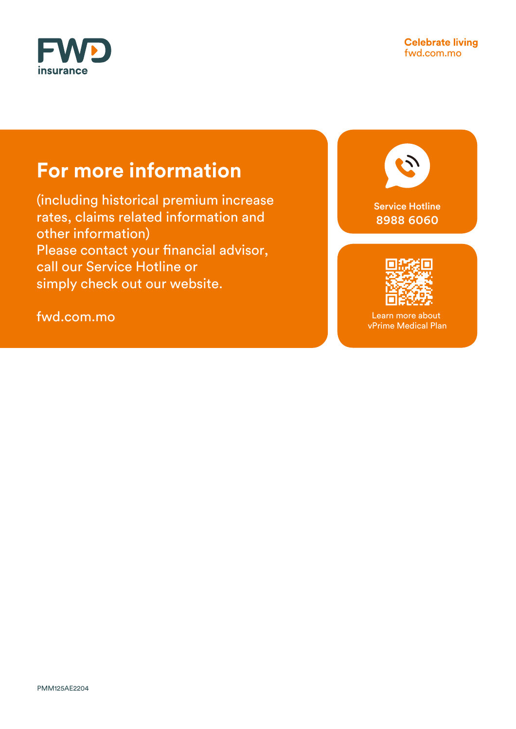

# **For more information**

(including historical premium increase rates, claims related information and other information) Please contact your financial advisor, call our Service Hotline or simply check out our website.

fwd.com.mo

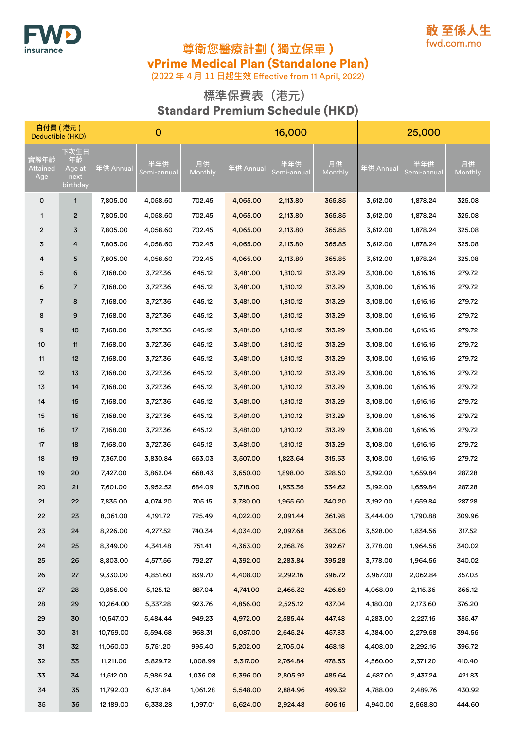



(2022 年 4 月 11 日起生效 Effective from 11 April, 2022)

### 標準保費表(港元) Standard Premium Schedule (HKD)

| 自付費 (港元)<br>Deductible (HKD) |                                          |           | $\mathbf 0$        |               |           | 16,000             |               |           | 25,000             |               |
|------------------------------|------------------------------------------|-----------|--------------------|---------------|-----------|--------------------|---------------|-----------|--------------------|---------------|
| 實際年齡<br>Attained<br>Age      | 下次生日<br>年齡<br>Age at<br>next<br>birthday | 年供 Annual | 半年供<br>Semi-annual | 月供<br>Monthly | 年供 Annual | 半年供<br>Semi-annual | 月供<br>Monthly | 年供 Annual | 半年供<br>Semi-annual | 月供<br>Monthly |
| 0                            | 1                                        | 7,805.00  | 4,058.60           | 702.45        | 4,065.00  | 2,113.80           | 365.85        | 3,612.00  | 1,878.24           | 325.08        |
| $\mathbf{1}$                 | 2                                        | 7,805.00  | 4,058.60           | 702.45        | 4,065.00  | 2,113.80           | 365.85        | 3,612.00  | 1,878.24           | 325.08        |
| $\overline{c}$               | 3                                        | 7,805.00  | 4,058.60           | 702.45        | 4,065.00  | 2,113.80           | 365.85        | 3,612.00  | 1,878.24           | 325.08        |
| 3                            | 4                                        | 7,805.00  | 4,058.60           | 702.45        | 4,065.00  | 2,113.80           | 365.85        | 3,612.00  | 1,878.24           | 325.08        |
| 4                            | 5                                        | 7,805.00  | 4,058.60           | 702.45        | 4,065.00  | 2,113.80           | 365.85        | 3,612.00  | 1,878.24           | 325.08        |
| 5                            | 6                                        | 7,168.00  | 3,727.36           | 645.12        | 3,481.00  | 1,810.12           | 313.29        | 3,108.00  | 1,616.16           | 279.72        |
| 6                            | 7                                        | 7,168.00  | 3,727.36           | 645.12        | 3,481.00  | 1,810.12           | 313.29        | 3,108.00  | 1,616.16           | 279.72        |
| $\overline{7}$               | 8                                        | 7,168.00  | 3,727.36           | 645.12        | 3,481.00  | 1,810.12           | 313.29        | 3,108.00  | 1,616.16           | 279.72        |
| 8                            | 9                                        | 7,168.00  | 3,727.36           | 645.12        | 3,481.00  | 1,810.12           | 313.29        | 3,108.00  | 1,616.16           | 279.72        |
| 9                            | 10                                       | 7,168.00  | 3,727.36           | 645.12        | 3,481.00  | 1,810.12           | 313.29        | 3,108.00  | 1,616.16           | 279.72        |
| 10                           | 11                                       | 7,168.00  | 3,727.36           | 645.12        | 3,481.00  | 1,810.12           | 313.29        | 3,108.00  | 1,616.16           | 279.72        |
| 11                           | 12                                       | 7,168.00  | 3,727.36           | 645.12        | 3,481.00  | 1,810.12           | 313.29        | 3,108.00  | 1,616.16           | 279.72        |
| 12                           | 13                                       | 7,168.00  | 3,727.36           | 645.12        | 3,481.00  | 1,810.12           | 313.29        | 3,108.00  | 1,616.16           | 279.72        |
| 13                           | 14                                       | 7,168.00  | 3,727.36           | 645.12        | 3,481.00  | 1,810.12           | 313.29        | 3,108.00  | 1,616.16           | 279.72        |
| 14                           | 15                                       | 7,168.00  | 3,727.36           | 645.12        | 3,481.00  | 1,810.12           | 313.29        | 3,108.00  | 1,616.16           | 279.72        |
| 15                           | 16                                       | 7,168.00  | 3,727.36           | 645.12        | 3,481.00  | 1,810.12           | 313.29        | 3,108.00  | 1,616.16           | 279.72        |
| 16                           | 17                                       | 7,168.00  | 3,727.36           | 645.12        | 3,481.00  | 1,810.12           | 313.29        | 3,108.00  | 1,616.16           | 279.72        |
| 17                           | 18                                       | 7,168.00  | 3,727.36           | 645.12        | 3,481.00  | 1,810.12           | 313.29        | 3,108.00  | 1,616.16           | 279.72        |
| 18                           | 19                                       | 7,367.00  | 3,830.84           | 663.03        | 3,507.00  | 1,823.64           | 315.63        | 3,108.00  | 1,616.16           | 279.72        |
| 19                           | 20                                       | 7,427.00  | 3,862.04           | 668.43        | 3,650.00  | 1,898.00           | 328.50        | 3,192.00  | 1,659.84           | 287.28        |
| 20                           | 21                                       | 7,601.00  | 3,952.52           | 684.09        | 3,718.00  | 1,933.36           | 334.62        | 3,192.00  | 1,659.84           | 287.28        |
| 21                           | 22                                       | 7,835.00  | 4,074.20           | 705.15        | 3,780.00  | 1,965.60           | 340.20        | 3,192.00  | 1,659.84           | 287.28        |
| 22                           | 23                                       | 8,061.00  | 4,191.72           | 725.49        | 4,022.00  | 2,091.44           | 361.98        | 3,444.00  | 1,790.88           | 309.96        |
| 23                           | 24                                       | 8,226.00  | 4,277.52           | 740.34        | 4,034.00  | 2,097.68           | 363.06        | 3,528.00  | 1,834.56           | 317.52        |
| 24                           | 25                                       | 8,349.00  | 4,341.48           | 751.41        | 4,363.00  | 2,268.76           | 392.67        | 3,778.00  | 1,964.56           | 340.02        |
| 25                           | 26                                       | 8,803.00  | 4,577.56           | 792.27        | 4,392.00  | 2,283.84           | 395.28        | 3,778.00  | 1,964.56           | 340.02        |
| 26                           | 27                                       | 9,330.00  | 4,851.60           | 839.70        | 4,408.00  | 2,292.16           | 396.72        | 3,967.00  | 2,062.84           | 357.03        |
| 27                           | 28                                       | 9,856.00  | 5,125.12           | 887.04        | 4,741.00  | 2,465.32           | 426.69        | 4,068.00  | 2,115.36           | 366.12        |
| 28                           | 29                                       | 10,264.00 | 5,337.28           | 923.76        | 4,856.00  | 2,525.12           | 437.04        | 4,180.00  | 2,173.60           | 376.20        |
| 29                           | 30                                       | 10,547.00 | 5,484.44           | 949.23        | 4,972.00  | 2,585.44           | 447.48        | 4,283.00  | 2,227.16           | 385.47        |
| 30                           | 31                                       | 10,759.00 | 5,594.68           | 968.31        | 5,087.00  | 2,645.24           | 457.83        | 4,384.00  | 2,279.68           | 394.56        |
| 31                           | 32                                       | 11,060.00 | 5,751.20           | 995.40        | 5,202.00  | 2,705.04           | 468.18        | 4,408.00  | 2,292.16           | 396.72        |
| 32                           | 33                                       | 11,211.00 | 5,829.72           | 1,008.99      | 5,317.00  | 2,764.84           | 478.53        | 4,560.00  | 2,371.20           | 410.40        |
| 33                           | 34                                       | 11,512.00 | 5,986.24           | 1,036.08      | 5,396.00  | 2,805.92           | 485.64        | 4,687.00  | 2,437.24           | 421.83        |
| 34                           | 35                                       | 11,792.00 | 6,131.84           | 1,061.28      | 5,548.00  | 2,884.96           | 499.32        | 4,788.00  | 2,489.76           | 430.92        |
| 35                           | 36                                       | 12,189.00 | 6,338.28           | 1,097.01      | 5,624.00  | 2,924.48           | 506.16        | 4,940.00  | 2,568.80           | 444.60        |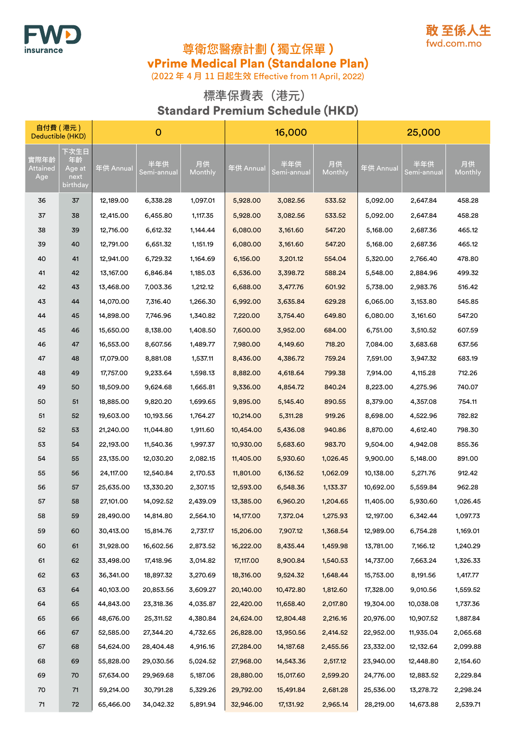



(2022 年 4 月 11 日起生效 Effective from 11 April, 2022)

### 標準保費表(港元) Standard Premium Schedule (HKD)

| 自付費(港元)<br>Deductible (HKD) |                                          |           | $\mathbf 0$        |               |           | 16,000             |               |           | 25,000             |               |
|-----------------------------|------------------------------------------|-----------|--------------------|---------------|-----------|--------------------|---------------|-----------|--------------------|---------------|
| 實際年齡<br>Attained<br>Age     | 下次生日<br>年齢<br>Age at<br>next<br>birthday | 年供 Annual | 半年供<br>Semi-annual | 月供<br>Monthly | 年供 Annual | 半年供<br>Semi-annual | 月供<br>Monthly | 年供 Annual | 半年供<br>Semi-annual | 月供<br>Monthly |
| 36                          | 37                                       | 12,189.00 | 6,338.28           | 1,097.01      | 5,928.00  | 3,082.56           | 533.52        | 5,092.00  | 2,647.84           | 458.28        |
| 37                          | 38                                       | 12,415.00 | 6,455.80           | 1,117.35      | 5,928.00  | 3,082.56           | 533.52        | 5,092.00  | 2,647.84           | 458.28        |
| 38                          | 39                                       | 12,716.00 | 6,612.32           | 1,144.44      | 6,080.00  | 3,161.60           | 547.20        | 5,168.00  | 2,687.36           | 465.12        |
| 39                          | 40                                       | 12,791.00 | 6,651.32           | 1,151.19      | 6,080.00  | 3,161.60           | 547.20        | 5,168.00  | 2,687.36           | 465.12        |
| 40                          | 41                                       | 12,941.00 | 6,729.32           | 1,164.69      | 6,156.00  | 3,201.12           | 554.04        | 5,320.00  | 2,766.40           | 478.80        |
| 41                          | 42                                       | 13,167.00 | 6,846.84           | 1,185.03      | 6,536.00  | 3,398.72           | 588.24        | 5,548.00  | 2,884.96           | 499.32        |
| 42                          | 43                                       | 13,468.00 | 7,003.36           | 1,212.12      | 6,688.00  | 3,477.76           | 601.92        | 5,738.00  | 2,983.76           | 516.42        |
| 43                          | 44                                       | 14,070.00 | 7,316.40           | 1,266.30      | 6,992.00  | 3,635.84           | 629.28        | 6,065.00  | 3,153.80           | 545.85        |
| 44                          | 45                                       | 14,898.00 | 7,746.96           | 1,340.82      | 7,220.00  | 3,754.40           | 649.80        | 6,080.00  | 3,161.60           | 547.20        |
| 45                          | 46                                       | 15,650.00 | 8,138.00           | 1,408.50      | 7,600.00  | 3,952.00           | 684.00        | 6,751.00  | 3,510.52           | 607.59        |
| 46                          | 47                                       | 16,553.00 | 8,607.56           | 1,489.77      | 7,980.00  | 4,149.60           | 718.20        | 7,084.00  | 3,683.68           | 637.56        |
| 47                          | 48                                       | 17,079.00 | 8,881.08           | 1,537.11      | 8,436.00  | 4,386.72           | 759.24        | 7,591.00  | 3,947.32           | 683.19        |
| 48                          | 49                                       | 17,757.00 | 9,233.64           | 1,598.13      | 8,882.00  | 4,618.64           | 799.38        | 7,914.00  | 4,115.28           | 712.26        |
| 49                          | 50                                       | 18,509.00 | 9,624.68           | 1,665.81      | 9,336.00  | 4,854.72           | 840.24        | 8,223.00  | 4,275.96           | 740.07        |
| 50                          | 51                                       | 18,885.00 | 9,820.20           | 1,699.65      | 9,895.00  | 5,145.40           | 890.55        | 8,379.00  | 4,357.08           | 754.11        |
| 51                          | 52                                       | 19,603.00 | 10,193.56          | 1,764.27      | 10,214.00 | 5,311.28           | 919.26        | 8,698.00  | 4,522.96           | 782.82        |
| 52                          | 53                                       | 21,240.00 | 11,044.80          | 1,911.60      | 10,454.00 | 5,436.08           | 940.86        | 8,870.00  | 4,612.40           | 798.30        |
| 53                          | 54                                       | 22,193.00 | 11,540.36          | 1,997.37      | 10,930.00 | 5,683.60           | 983.70        | 9,504.00  | 4,942.08           | 855.36        |
| 54                          | 55                                       | 23,135.00 | 12,030.20          | 2,082.15      | 11,405.00 | 5,930.60           | 1,026.45      | 9,900.00  | 5,148.00           | 891.00        |
| 55                          | 56                                       | 24,117.00 | 12,540.84          | 2,170.53      | 11,801.00 | 6,136.52           | 1,062.09      | 10,138.00 | 5,271.76           | 912.42        |
| 56                          | 57                                       | 25,635.00 | 13,330.20          | 2,307.15      | 12,593.00 | 6,548.36           | 1,133.37      | 10,692.00 | 5,559.84           | 962.28        |
| 57                          | 58                                       | 27,101.00 | 14,092.52          | 2,439.09      | 13,385.00 | 6,960.20           | 1,204.65      | 11,405.00 | 5,930.60           | 1,026.45      |
| 58                          | 59                                       | 28,490.00 | 14,814.80          | 2,564.10      | 14,177.00 | 7,372.04           | 1,275.93      | 12,197.00 | 6,342.44           | 1,097.73      |
| 59                          | 60                                       | 30,413.00 | 15,814.76          | 2,737.17      | 15,206.00 | 7,907.12           | 1,368.54      | 12,989.00 | 6,754.28           | 1,169.01      |
| 60                          | 61                                       | 31,928.00 | 16,602.56          | 2,873.52      | 16,222.00 | 8,435.44           | 1,459.98      | 13,781.00 | 7,166.12           | 1,240.29      |
| 61                          | 62                                       | 33,498.00 | 17,418.96          | 3,014.82      | 17,117.00 | 8,900.84           | 1,540.53      | 14,737.00 | 7,663.24           | 1,326.33      |
| 62                          | 63                                       | 36,341.00 | 18,897.32          | 3,270.69      | 18,316.00 | 9,524.32           | 1,648.44      | 15,753.00 | 8,191.56           | 1,417.77      |
| 63                          | 64                                       | 40,103.00 | 20,853.56          | 3,609.27      | 20,140.00 | 10,472.80          | 1,812.60      | 17,328.00 | 9,010.56           | 1,559.52      |
| 64                          | 65                                       | 44,843.00 | 23,318.36          | 4,035.87      | 22,420.00 | 11,658.40          | 2,017.80      | 19,304.00 | 10,038.08          | 1,737.36      |
| 65                          | 66                                       | 48,676.00 | 25,311.52          | 4,380.84      | 24,624.00 | 12,804.48          | 2,216.16      | 20,976.00 | 10,907.52          | 1,887.84      |
| 66                          | 67                                       | 52,585.00 | 27,344.20          | 4,732.65      | 26,828.00 | 13,950.56          | 2,414.52      | 22,952.00 | 11,935.04          | 2,065.68      |
| 67                          | 68                                       | 54,624.00 | 28,404.48          | 4,916.16      | 27,284.00 | 14,187.68          | 2,455.56      | 23,332.00 | 12,132.64          | 2,099.88      |
| 68                          | 69                                       | 55,828.00 | 29,030.56          | 5,024.52      | 27,968.00 | 14,543.36          | 2,517.12      | 23,940.00 | 12,448.80          | 2,154.60      |
| 69                          | 70                                       | 57,634.00 | 29,969.68          | 5,187.06      | 28,880.00 | 15,017.60          | 2,599.20      | 24,776.00 | 12,883.52          | 2,229.84      |
| 70                          | 71                                       | 59,214.00 | 30,791.28          | 5,329.26      | 29,792.00 | 15,491.84          | 2,681.28      | 25,536.00 | 13,278.72          | 2,298.24      |
| $71$                        | 72                                       | 65,466.00 | 34,042.32          | 5,891.94      | 32,946.00 | 17,131.92          | 2,965.14      | 28,219.00 | 14,673.88          | 2,539.71      |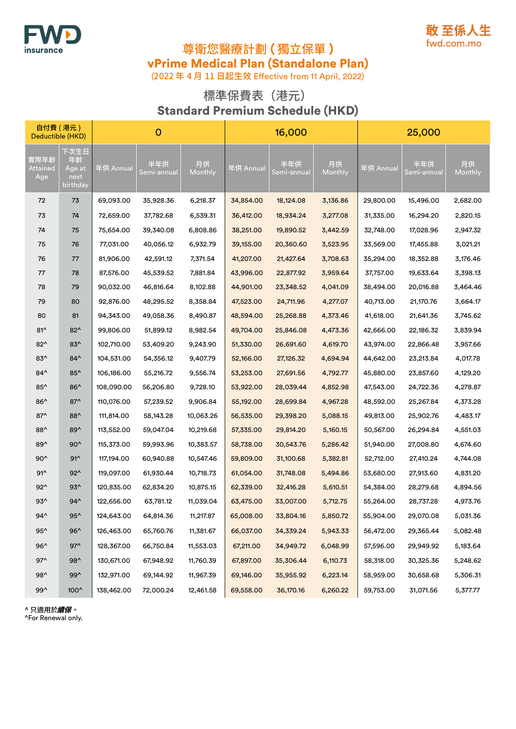



(2022 年 4 月 11 日起生效 Effective from 11 April, 2022)

### 標準保費表(港元) Standard Premium Schedule (HKD)

| 自付費 (港元)<br>Deductible (HKD) |                                          | $\mathbf{O}$ |                    |               | 16,000    |                    |               | 25,000    |                    |               |
|------------------------------|------------------------------------------|--------------|--------------------|---------------|-----------|--------------------|---------------|-----------|--------------------|---------------|
| 實際年齡<br>Attained<br>Age      | 下次生日<br>年齡<br>Age at<br>next<br>birthday | 年供 Annual    | 半年供<br>Semi-annual | 月供<br>Monthly | 年供 Annual | 半年供<br>Semi-annual | 月供<br>Monthly | 年供 Annual | 半年供<br>Semi-annual | 月供<br>Monthly |
| 72                           | 73                                       | 69,093.00    | 35,928.36          | 6,218.37      | 34,854.00 | 18,124.08          | 3,136.86      | 29,800.00 | 15,496.00          | 2,682.00      |
| 73                           | 74                                       | 72,659.00    | 37,782.68          | 6,539.31      | 36,412.00 | 18,934.24          | 3,277.08      | 31,335.00 | 16,294.20          | 2,820.15      |
| 74                           | 75                                       | 75,654.00    | 39,340.08          | 6,808.86      | 38,251.00 | 19,890.52          | 3,442.59      | 32,748.00 | 17,028.96          | 2,947.32      |
| 75                           | 76                                       | 77,031.00    | 40,056.12          | 6,932.79      | 39,155.00 | 20,360.60          | 3,523.95      | 33,569.00 | 17,455.88          | 3,021.21      |
| 76                           | 77                                       | 81,906.00    | 42,591.12          | 7,371.54      | 41,207.00 | 21,427.64          | 3,708.63      | 35,294.00 | 18,352.88          | 3,176.46      |
| 77                           | 78                                       | 87,576.00    | 45,539.52          | 7,881.84      | 43,996.00 | 22,877.92          | 3,959.64      | 37,757.00 | 19,633.64          | 3,398.13      |
| 78                           | 79                                       | 90,032.00    | 46,816.64          | 8,102.88      | 44,901.00 | 23,348.52          | 4,041.09      | 38,494.00 | 20,016.88          | 3,464.46      |
| 79                           | 80                                       | 92,876.00    | 48,295.52          | 8,358.84      | 47,523.00 | 24,711.96          | 4,277.07      | 40,713.00 | 21,170.76          | 3,664.17      |
| 80                           | 81                                       | 94,343.00    | 49,058.36          | 8,490.87      | 48,594.00 | 25,268.88          | 4,373.46      | 41,618.00 | 21,641.36          | 3,745.62      |
| $81^$                        | $82^{\wedge}$                            | 99,806.00    | 51,899.12          | 8,982.54      | 49,704.00 | 25,846.08          | 4,473.36      | 42,666.00 | 22,186.32          | 3,839.94      |
| $82^{\wedge}$                | $83^$                                    | 102,710.00   | 53,409.20          | 9,243.90      | 51,330.00 | 26,691.60          | 4,619.70      | 43,974.00 | 22,866.48          | 3,957.66      |
| $83^$                        | $84^{\wedge}$                            | 104,531.00   | 54,356.12          | 9,407.79      | 52,166.00 | 27,126.32          | 4,694.94      | 44,642.00 | 23,213.84          | 4,017.78      |
| $84^$                        | $85^{\wedge}$                            | 106,186.00   | 55,216.72          | 9,556.74      | 53,253.00 | 27,691.56          | 4,792.77      | 45,880.00 | 23,857.60          | 4,129.20      |
| $85^{\wedge}$                | $86^{\wedge}$                            | 108,090.00   | 56,206.80          | 9,728.10      | 53,922.00 | 28,039.44          | 4,852.98      | 47,543.00 | 24,722.36          | 4,278.87      |
| $86^$                        | $87^$                                    | 110,076.00   | 57,239.52          | 9,906.84      | 55,192.00 | 28,699.84          | 4,967.28      | 48,592.00 | 25,267.84          | 4,373.28      |
| $87^$                        | 88^                                      | 111,814.00   | 58,143.28          | 10,063.26     | 56,535.00 | 29,398.20          | 5,088.15      | 49,813.00 | 25,902.76          | 4,483.17      |
| 88^                          | $89^$                                    | 113,552.00   | 59,047.04          | 10,219.68     | 57,335.00 | 29,814.20          | 5,160.15      | 50,567.00 | 26,294.84          | 4,551.03      |
| 89^                          | $90^$                                    | 115,373.00   | 59,993.96          | 10,383.57     | 58,738.00 | 30,543.76          | 5,286.42      | 51,940.00 | 27,008.80          | 4,674.60      |
| $90^$                        | $91^$                                    | 117,194.00   | 60,940.88          | 10,547.46     | 59,809.00 | 31,100.68          | 5,382.81      | 52,712.00 | 27,410.24          | 4,744.08      |
| $91^$                        | $92^{\wedge}$                            | 119,097.00   | 61,930.44          | 10,718.73     | 61,054.00 | 31,748.08          | 5,494.86      | 53,680.00 | 27,913.60          | 4,831.20      |
| $92^{\wedge}$                | $93^$                                    | 120,835.00   | 62,834.20          | 10,875.15     | 62,339.00 | 32,416.28          | 5,610.51      | 54,384.00 | 28,279.68          | 4,894.56      |
| $93^$                        | $94^{\wedge}$                            | 122,656.00   | 63,781.12          | 11,039.04     | 63,475.00 | 33,007.00          | 5,712.75      | 55,264.00 | 28,737.28          | 4,973.76      |
| 94^                          | $95^{\wedge}$                            | 124,643.00   | 64,814.36          | 11,217.87     | 65,008.00 | 33,804.16          | 5,850.72      | 55,904.00 | 29,070.08          | 5,031.36      |
| $95^{\wedge}$                | $96^$                                    | 126,463.00   | 65,760.76          | 11,381.67     | 66,037.00 | 34,339.24          | 5,943.33      | 56,472.00 | 29,365.44          | 5,082.48      |
| $96^$                        | $97^$                                    | 128,367.00   | 66,750.84          | 11,553.03     | 67,211.00 | 34,949.72          | 6,048.99      | 57,596.00 | 29,949.92          | 5,183.64      |
| $97^$                        | 98^                                      | 130,671.00   | 67,948.92          | 11,760.39     | 67,897.00 | 35,306.44          | 6,110.73      | 58,318.00 | 30,325.36          | 5,248.62      |
| 98^                          | 99^                                      | 132,971.00   | 69,144.92          | 11,967.39     | 69,146.00 | 35,955.92          | 6,223.14      | 58,959.00 | 30,658.68          | 5,306.31      |
| 99^                          | 100^                                     | 138,462.00   | 72,000.24          | 12,461.58     | 69,558.00 | 36,170.16          | 6,260.22      | 59,753.00 | 31,071.56          | 5,377.77      |

^ 只適用於續保。

^For Renewal only.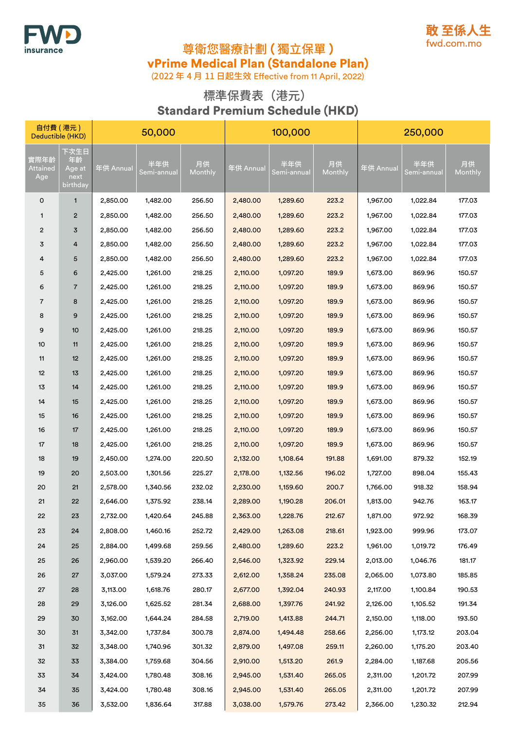



(2022 年 4 月 11 日起生效 Effective from 11 April, 2022)

### 標準保費表(港元) Standard Premium Schedule (HKD)

| 自付費 (港元)<br>Deductible (HKD) |                                          | 50,000    |                    |               | 100,000   |                    |               | 250,000   |                    |               |
|------------------------------|------------------------------------------|-----------|--------------------|---------------|-----------|--------------------|---------------|-----------|--------------------|---------------|
| 實際年齡<br>Attained<br>Age      | 下次生日<br>年齢<br>Age at<br>next<br>birthday | 年供 Annual | 半年供<br>Semi-annual | 月供<br>Monthly | 年供 Annual | 半年供<br>Semi-annual | 月供<br>Monthly | 年供 Annual | 半年供<br>Semi-annual | 月供<br>Monthly |
| 0                            | 1                                        | 2,850.00  | 1,482.00           | 256.50        | 2,480.00  | 1,289.60           | 223.2         | 1,967.00  | 1,022.84           | 177.03        |
| $\mathbf{1}$                 | $\overline{2}$                           | 2,850.00  | 1,482.00           | 256.50        | 2,480.00  | 1,289.60           | 223.2         | 1,967.00  | 1,022.84           | 177.03        |
| $\overline{c}$               | 3                                        | 2,850.00  | 1,482.00           | 256.50        | 2,480.00  | 1,289.60           | 223.2         | 1,967.00  | 1,022.84           | 177.03        |
| 3                            | 4                                        | 2,850.00  | 1,482.00           | 256.50        | 2,480.00  | 1,289.60           | 223.2         | 1,967.00  | 1,022.84           | 177.03        |
| 4                            | 5                                        | 2,850.00  | 1,482.00           | 256.50        | 2,480.00  | 1,289.60           | 223.2         | 1,967.00  | 1,022.84           | 177.03        |
| 5                            | 6                                        | 2,425.00  | 1,261.00           | 218.25        | 2,110.00  | 1,097.20           | 189.9         | 1,673.00  | 869.96             | 150.57        |
| 6                            | 7                                        | 2,425.00  | 1,261.00           | 218.25        | 2,110.00  | 1,097.20           | 189.9         | 1,673.00  | 869.96             | 150.57        |
| $\overline{7}$               | 8                                        | 2,425.00  | 1,261.00           | 218.25        | 2,110.00  | 1,097.20           | 189.9         | 1,673.00  | 869.96             | 150.57        |
| 8                            | 9                                        | 2,425.00  | 1,261.00           | 218.25        | 2,110.00  | 1,097.20           | 189.9         | 1,673.00  | 869.96             | 150.57        |
| 9                            | 10                                       | 2,425.00  | 1,261.00           | 218.25        | 2,110.00  | 1,097.20           | 189.9         | 1,673.00  | 869.96             | 150.57        |
| 10                           | 11                                       | 2,425.00  | 1,261.00           | 218.25        | 2,110.00  | 1,097.20           | 189.9         | 1,673.00  | 869.96             | 150.57        |
| 11                           | 12                                       | 2,425.00  | 1,261.00           | 218.25        | 2,110.00  | 1,097.20           | 189.9         | 1,673.00  | 869.96             | 150.57        |
| 12                           | 13                                       | 2,425.00  | 1,261.00           | 218.25        | 2,110.00  | 1,097.20           | 189.9         | 1,673.00  | 869.96             | 150.57        |
| 13                           | 14                                       | 2,425.00  | 1,261.00           | 218.25        | 2,110.00  | 1,097.20           | 189.9         | 1,673.00  | 869.96             | 150.57        |
| 14                           | 15                                       | 2,425.00  | 1,261.00           | 218.25        | 2,110.00  | 1,097.20           | 189.9         | 1,673.00  | 869.96             | 150.57        |
| 15                           | 16                                       | 2,425.00  | 1,261.00           | 218.25        | 2,110.00  | 1,097.20           | 189.9         | 1,673.00  | 869.96             | 150.57        |
| 16                           | 17                                       | 2,425.00  | 1,261.00           | 218.25        | 2,110.00  | 1,097.20           | 189.9         | 1,673.00  | 869.96             | 150.57        |
| 17                           | 18                                       | 2,425.00  | 1,261.00           | 218.25        | 2,110.00  | 1,097.20           | 189.9         | 1,673.00  | 869.96             | 150.57        |
| 18                           | 19                                       | 2,450.00  | 1,274.00           | 220.50        | 2,132.00  | 1,108.64           | 191.88        | 1,691.00  | 879.32             | 152.19        |
| 19                           | 20                                       | 2,503.00  | 1,301.56           | 225.27        | 2,178.00  | 1,132.56           | 196.02        | 1,727.00  | 898.04             | 155.43        |
| 20                           | 21                                       | 2,578.00  | 1,340.56           | 232.02        | 2,230.00  | 1,159.60           | 200.7         | 1,766.00  | 918.32             | 158.94        |
| 21                           | 22                                       | 2,646.00  | 1,375.92           | 238.14        | 2,289.00  | 1,190.28           | 206.01        | 1,813.00  | 942.76             | 163.17        |
| 22                           | 23                                       | 2,732.00  | 1,420.64           | 245.88        | 2,363.00  | 1,228.76           | 212.67        | 1,871.00  | 972.92             | 168.39        |
| 23                           | 24                                       | 2,808.00  | 1,460.16           | 252.72        | 2,429.00  | 1,263.08           | 218.61        | 1,923.00  | 999.96             | 173.07        |
| 24                           | 25                                       | 2,884.00  | 1,499.68           | 259.56        | 2,480.00  | 1,289.60           | 223.2         | 1,961.00  | 1,019.72           | 176.49        |
| 25                           | 26                                       | 2,960.00  | 1,539.20           | 266.40        | 2,546.00  | 1,323.92           | 229.14        | 2,013.00  | 1,046.76           | 181.17        |
| 26                           | 27                                       | 3,037.00  | 1,579.24           | 273.33        | 2,612.00  | 1,358.24           | 235.08        | 2,065.00  | 1,073.80           | 185.85        |
| 27                           | 28                                       | 3,113.00  | 1,618.76           | 280.17        | 2,677.00  | 1,392.04           | 240.93        | 2,117.00  | 1,100.84           | 190.53        |
| 28                           | 29                                       | 3,126.00  | 1,625.52           | 281.34        | 2,688.00  | 1,397.76           | 241.92        | 2,126.00  | 1,105.52           | 191.34        |
| 29                           | 30                                       | 3,162.00  | 1,644.24           | 284.58        | 2,719.00  | 1,413.88           | 244.71        | 2,150.00  | 1,118.00           | 193.50        |
| 30                           | 31                                       | 3,342.00  | 1,737.84           | 300.78        | 2,874.00  | 1,494.48           | 258.66        | 2,256.00  | 1,173.12           | 203.04        |
| 31                           | 32                                       | 3,348.00  | 1,740.96           | 301.32        | 2,879.00  | 1,497.08           | 259.11        | 2,260.00  | 1,175.20           | 203.40        |
| 32                           | 33                                       | 3,384.00  | 1,759.68           | 304.56        | 2,910.00  | 1,513.20           | 261.9         | 2,284.00  | 1,187.68           | 205.56        |
| 33                           | 34                                       | 3,424.00  | 1,780.48           | 308.16        | 2,945.00  | 1,531.40           | 265.05        | 2,311.00  | 1,201.72           | 207.99        |
| 34                           | 35                                       | 3,424.00  | 1,780.48           | 308.16        | 2,945.00  | 1,531.40           | 265.05        | 2,311.00  | 1,201.72           | 207.99        |
| 35                           | 36                                       | 3,532.00  | 1,836.64           | 317.88        | 3,038.00  | 1,579.76           | 273.42        | 2,366.00  | 1,230.32           | 212.94        |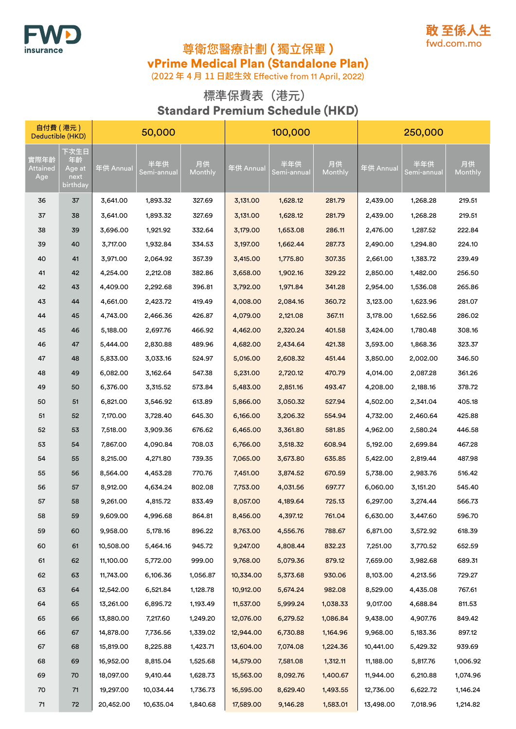



(2022 年 4 月 11 日起生效 Effective from 11 April, 2022)

### 標準保費表(港元) Standard Premium Schedule (HKD)

| 自付費 (港元)<br>Deductible (HKD) |                                          | 50,000    |                    |               | 100,000   |                    |               | 250,000   |                    |               |
|------------------------------|------------------------------------------|-----------|--------------------|---------------|-----------|--------------------|---------------|-----------|--------------------|---------------|
| 實際年齡<br>Attained<br>Age      | 下次生日<br>年齡<br>Age at<br>next<br>birthday | 年供 Annual | 半年供<br>Semi-annual | 月供<br>Monthly | 年供 Annual | 半年供<br>Semi-annual | 月供<br>Monthly | 年供 Annual | 半年供<br>Semi-annual | 月供<br>Monthly |
| 36                           | 37                                       | 3,641.00  | 1,893.32           | 327.69        | 3,131.00  | 1,628.12           | 281.79        | 2,439.00  | 1,268.28           | 219.51        |
| 37                           | 38                                       | 3,641.00  | 1,893.32           | 327.69        | 3,131.00  | 1,628.12           | 281.79        | 2,439.00  | 1,268.28           | 219.51        |
| 38                           | 39                                       | 3,696.00  | 1,921.92           | 332.64        | 3,179.00  | 1,653.08           | 286.11        | 2,476.00  | 1,287.52           | 222.84        |
| 39                           | 40                                       | 3,717.00  | 1,932.84           | 334.53        | 3,197.00  | 1,662.44           | 287.73        | 2,490.00  | 1,294.80           | 224.10        |
| 40                           | 41                                       | 3,971.00  | 2,064.92           | 357.39        | 3,415.00  | 1,775.80           | 307.35        | 2,661.00  | 1,383.72           | 239.49        |
| 41                           | 42                                       | 4,254.00  | 2,212.08           | 382.86        | 3,658.00  | 1,902.16           | 329.22        | 2,850.00  | 1,482.00           | 256.50        |
| 42                           | 43                                       | 4,409.00  | 2,292.68           | 396.81        | 3,792.00  | 1,971.84           | 341.28        | 2,954.00  | 1,536.08           | 265.86        |
| 43                           | 44                                       | 4,661.00  | 2,423.72           | 419.49        | 4,008.00  | 2,084.16           | 360.72        | 3,123.00  | 1,623.96           | 281.07        |
| 44                           | 45                                       | 4,743.00  | 2,466.36           | 426.87        | 4,079.00  | 2,121.08           | 367.11        | 3,178.00  | 1,652.56           | 286.02        |
| 45                           | 46                                       | 5,188.00  | 2,697.76           | 466.92        | 4,462.00  | 2,320.24           | 401.58        | 3,424.00  | 1,780.48           | 308.16        |
| 46                           | 47                                       | 5,444.00  | 2,830.88           | 489.96        | 4,682.00  | 2,434.64           | 421.38        | 3,593.00  | 1,868.36           | 323.37        |
| 47                           | 48                                       | 5,833.00  | 3,033.16           | 524.97        | 5,016.00  | 2,608.32           | 451.44        | 3,850.00  | 2,002.00           | 346.50        |
| 48                           | 49                                       | 6,082.00  | 3,162.64           | 547.38        | 5,231.00  | 2,720.12           | 470.79        | 4,014.00  | 2,087.28           | 361.26        |
| 49                           | 50                                       | 6,376.00  | 3,315.52           | 573.84        | 5,483.00  | 2,851.16           | 493.47        | 4,208.00  | 2,188.16           | 378.72        |
| 50                           | 51                                       | 6,821.00  | 3,546.92           | 613.89        | 5,866.00  | 3,050.32           | 527.94        | 4,502.00  | 2,341.04           | 405.18        |
| 51                           | 52                                       | 7,170.00  | 3,728.40           | 645.30        | 6,166.00  | 3,206.32           | 554.94        | 4,732.00  | 2,460.64           | 425.88        |
| 52                           | 53                                       | 7,518.00  | 3,909.36           | 676.62        | 6,465.00  | 3,361.80           | 581.85        | 4,962.00  | 2,580.24           | 446.58        |
| 53                           | 54                                       | 7,867.00  | 4,090.84           | 708.03        | 6,766.00  | 3,518.32           | 608.94        | 5,192.00  | 2,699.84           | 467.28        |
| 54                           | 55                                       | 8,215.00  | 4,271.80           | 739.35        | 7,065.00  | 3,673.80           | 635.85        | 5,422.00  | 2,819.44           | 487.98        |
| 55                           | 56                                       | 8,564.00  | 4,453.28           | 770.76        | 7,451.00  | 3,874.52           | 670.59        | 5,738.00  | 2,983.76           | 516.42        |
| 56                           | 57                                       | 8,912.00  | 4,634.24           | 802.08        | 7,753.00  | 4,031.56           | 697.77        | 6,060.00  | 3,151.20           | 545.40        |
| 57                           | 58                                       | 9,261.00  | 4,815.72           | 833.49        | 8,057.00  | 4,189.64           | 725.13        | 6,297.00  | 3,274.44           | 566.73        |
| 58                           | 59                                       | 9,609.00  | 4,996.68           | 864.81        | 8,456.00  | 4,397.12           | 761.04        | 6,630.00  | 3,447.60           | 596.70        |
| 59                           | 60                                       | 9,958.00  | 5,178.16           | 896.22        | 8,763.00  | 4,556.76           | 788.67        | 6,871.00  | 3,572.92           | 618.39        |
| 60                           | 61                                       | 10,508.00 | 5,464.16           | 945.72        | 9,247.00  | 4,808.44           | 832.23        | 7,251.00  | 3,770.52           | 652.59        |
| 61                           | 62                                       | 11,100.00 | 5,772.00           | 999.00        | 9,768.00  | 5,079.36           | 879.12        | 7,659.00  | 3,982.68           | 689.31        |
| 62                           | 63                                       | 11,743.00 | 6,106.36           | 1,056.87      | 10,334.00 | 5,373.68           | 930.06        | 8,103.00  | 4,213.56           | 729.27        |
| 63                           | 64                                       | 12,542.00 | 6,521.84           | 1,128.78      | 10,912.00 | 5,674.24           | 982.08        | 8,529.00  | 4,435.08           | 767.61        |
| 64                           | 65                                       | 13,261.00 | 6,895.72           | 1,193.49      | 11,537.00 | 5,999.24           | 1,038.33      | 9,017.00  | 4,688.84           | 811.53        |
| 65                           | 66                                       | 13,880.00 | 7,217.60           | 1,249.20      | 12,076.00 | 6,279.52           | 1,086.84      | 9,438.00  | 4,907.76           | 849.42        |
| 66                           | 67                                       | 14,878.00 | 7,736.56           | 1,339.02      | 12,944.00 | 6,730.88           | 1,164.96      | 9,968.00  | 5,183.36           | 897.12        |
| 67                           | 68                                       | 15,819.00 | 8,225.88           | 1,423.71      | 13,604.00 | 7,074.08           | 1,224.36      | 10,441.00 | 5,429.32           | 939.69        |
| 68                           | 69                                       | 16,952.00 | 8,815.04           | 1,525.68      | 14,579.00 | 7,581.08           | 1,312.11      | 11,188.00 | 5,817.76           | 1,006.92      |
| 69                           | 70                                       | 18,097.00 | 9,410.44           | 1,628.73      | 15,563.00 | 8,092.76           | 1,400.67      | 11,944.00 | 6,210.88           | 1,074.96      |
| 70                           | $71$                                     | 19,297.00 | 10,034.44          | 1,736.73      | 16,595.00 | 8,629.40           | 1,493.55      | 12,736.00 | 6,622.72           | 1,146.24      |
| $71$                         | $72\,$                                   | 20,452.00 | 10,635.04          | 1,840.68      | 17,589.00 | 9,146.28           | 1,583.01      | 13,498.00 | 7,018.96           | 1,214.82      |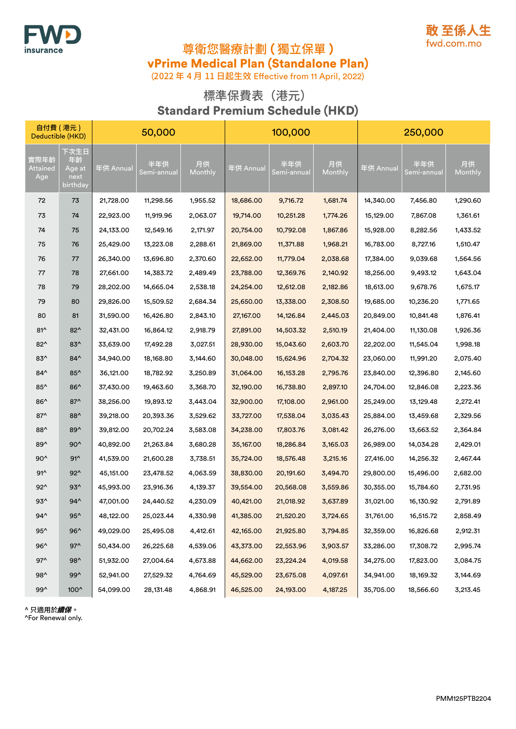



(2022 年 4 月 11 日起生效 Effective from 11 April, 2022)

### 標準保費表(港元) Standard Premium Schedule (HKD)

| 自付費 (港元)<br>Deductible (HKD) |                                          | 50,000    |                    |                      |           | 100,000            |               | 250,000   |                    |               |
|------------------------------|------------------------------------------|-----------|--------------------|----------------------|-----------|--------------------|---------------|-----------|--------------------|---------------|
| 實際年齡<br>Attained<br>Age      | 下次生日<br>年齡<br>Age at<br>next<br>birthday | 年供 Annual | 半年供<br>Semi-annual | 月供<br><b>Monthly</b> | 年供 Annual | 半年供<br>Semi-annual | 月供<br>Monthly | 年供 Annual | 半年供<br>Semi-annual | 月供<br>Monthly |
| 72                           | 73                                       | 21,728.00 | 11,298.56          | 1,955.52             | 18,686.00 | 9,716.72           | 1,681.74      | 14,340.00 | 7,456.80           | 1,290.60      |
| 73                           | 74                                       | 22,923.00 | 11,919.96          | 2,063.07             | 19,714.00 | 10,251.28          | 1,774.26      | 15,129.00 | 7,867.08           | 1,361.61      |
| 74                           | 75                                       | 24,133.00 | 12,549.16          | 2,171.97             | 20,754.00 | 10,792.08          | 1,867.86      | 15,928.00 | 8,282.56           | 1,433.52      |
| 75                           | 76                                       | 25,429.00 | 13,223.08          | 2,288.61             | 21,869.00 | 11,371.88          | 1,968.21      | 16,783.00 | 8,727.16           | 1,510.47      |
| 76                           | 77                                       | 26,340.00 | 13,696.80          | 2,370.60             | 22,652.00 | 11,779.04          | 2,038.68      | 17,384.00 | 9,039.68           | 1,564.56      |
| 77                           | 78                                       | 27,661.00 | 14,383.72          | 2,489.49             | 23,788.00 | 12,369.76          | 2,140.92      | 18,256.00 | 9,493.12           | 1,643.04      |
| 78                           | 79                                       | 28,202.00 | 14,665.04          | 2,538.18             | 24,254.00 | 12,612.08          | 2,182.86      | 18,613.00 | 9,678.76           | 1,675.17      |
| 79                           | 80                                       | 29,826.00 | 15,509.52          | 2,684.34             | 25,650.00 | 13,338.00          | 2,308.50      | 19,685.00 | 10,236.20          | 1,771.65      |
| 80                           | 81                                       | 31,590.00 | 16,426.80          | 2,843.10             | 27,167.00 | 14,126.84          | 2,445.03      | 20,849.00 | 10,841.48          | 1,876.41      |
| $81^$                        | $82^{\wedge}$                            | 32,431.00 | 16,864.12          | 2,918.79             | 27,891.00 | 14,503.32          | 2,510.19      | 21,404.00 | 11,130.08          | 1,926.36      |
| $82^$                        | $83^$                                    | 33,639.00 | 17,492.28          | 3,027.51             | 28,930.00 | 15,043.60          | 2,603.70      | 22,202.00 | 11,545.04          | 1,998.18      |
| $83^$                        | $84^$                                    | 34,940.00 | 18,168.80          | 3,144.60             | 30,048.00 | 15,624.96          | 2,704.32      | 23,060.00 | 11,991.20          | 2,075.40      |
| $84^{\wedge}$                | $85^{\wedge}$                            | 36,121.00 | 18,782.92          | 3,250.89             | 31,064.00 | 16, 153. 28        | 2,795.76      | 23,840.00 | 12,396.80          | 2,145.60      |
| $85^{\wedge}$                | $86^$                                    | 37,430.00 | 19,463.60          | 3,368.70             | 32,190.00 | 16,738.80          | 2,897.10      | 24,704.00 | 12,846.08          | 2,223.36      |
| $86^$                        | $87^$                                    | 38,256.00 | 19,893.12          | 3,443.04             | 32,900.00 | 17,108.00          | 2,961.00      | 25,249.00 | 13,129.48          | 2,272.41      |
| $87^$                        | 88^                                      | 39,218.00 | 20,393.36          | 3,529.62             | 33,727.00 | 17,538.04          | 3,035.43      | 25,884.00 | 13,459.68          | 2,329.56      |
| 88^                          | 89^                                      | 39,812.00 | 20,702.24          | 3,583.08             | 34,238.00 | 17,803.76          | 3,081.42      | 26,276.00 | 13,663.52          | 2,364.84      |
| 89^                          | $90^$                                    | 40,892.00 | 21,263.84          | 3,680.28             | 35,167.00 | 18,286.84          | 3,165.03      | 26,989.00 | 14,034.28          | 2,429.01      |
| $90^$                        | $91^$                                    | 41,539.00 | 21,600.28          | 3,738.51             | 35,724.00 | 18,576.48          | 3,215.16      | 27,416.00 | 14,256.32          | 2,467.44      |
| $91^$                        | $92^{\wedge}$                            | 45,151.00 | 23,478.52          | 4,063.59             | 38,830.00 | 20,191.60          | 3,494.70      | 29,800.00 | 15,496.00          | 2,682.00      |
| $92^{\wedge}$                | $93^$                                    | 45,993.00 | 23,916.36          | 4,139.37             | 39,554.00 | 20,568.08          | 3,559.86      | 30,355.00 | 15,784.60          | 2,731.95      |
| $93^$                        | $94^{\wedge}$                            | 47,001.00 | 24,440.52          | 4,230.09             | 40,421.00 | 21,018.92          | 3,637.89      | 31,021.00 | 16,130.92          | 2,791.89      |
| 94^                          | $95^{\wedge}$                            | 48,122.00 | 25,023.44          | 4,330.98             | 41,385.00 | 21,520.20          | 3,724.65      | 31,761.00 | 16,515.72          | 2,858.49      |
| $95^{\wedge}$                | $96^$                                    | 49,029.00 | 25,495.08          | 4,412.61             | 42,165.00 | 21,925.80          | 3,794.85      | 32,359.00 | 16,826.68          | 2,912.31      |
| $96^$                        | $97^{\wedge}$                            | 50,434.00 | 26,225.68          | 4,539.06             | 43,373.00 | 22,553.96          | 3,903.57      | 33,286.00 | 17,308.72          | 2,995.74      |
| $97^{\wedge}$                | 98^                                      | 51,932.00 | 27,004.64          | 4,673.88             | 44,662.00 | 23,224.24          | 4,019.58      | 34,275.00 | 17,823.00          | 3,084.75      |
| 98^                          | 99^                                      | 52,941.00 | 27,529.32          | 4,764.69             | 45,529.00 | 23,675.08          | 4,097.61      | 34,941.00 | 18,169.32          | 3,144.69      |
| 99^                          | 100^                                     | 54,099.00 | 28,131.48          | 4,868.91             | 46,525.00 | 24,193.00          | 4,187.25      | 35,705.00 | 18,566.60          | 3,213.45      |

^ 只適用於續保。

^For Renewal only.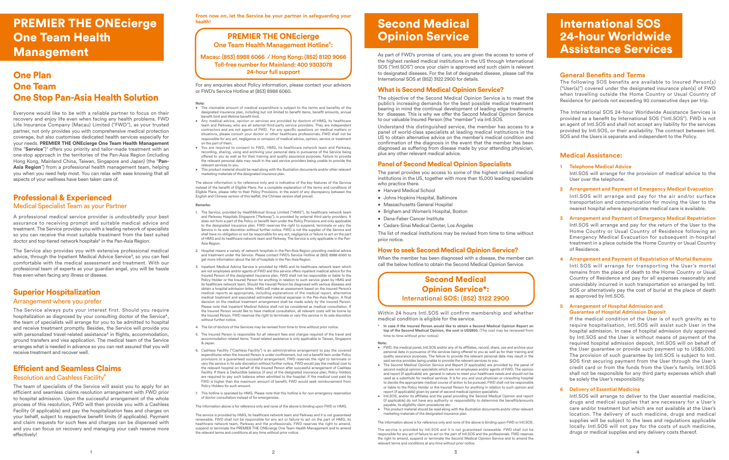### PREMIER THE ONEcierge One Team Health Management

### One Plan One Team One Stop Pan-Asia Health Solution

Everyone would like to be with a reliable partner to focus on their recovery and enjoy life even when facing any health problems. FWD Life Insurance Company (Macau) Limited ("FWD"), as your trusted partner, not only provides you with comprehensive medical protection coverage, but also customises dedicated health services especially for your needs. PREMIER THE ONEcierge One Team Health Management (the "Service")<sup>1</sup> offers you priority and tailor-made treatment with an one-stop approach in the territories of the Pan-Asia Region (including Hong Kong, Mainland China, Taiwan, Singapore and Japan) (the "Pan-Asia Region") from a professional health management team, helping you when you need help most. You can relax with ease knowing that all aspects of your wellness have been taken care of.

### Professional & Experienced Medical Specialist Team as your Partner

A professional medical service provider is undoubtedly your best assurance to receiving prompt and suitable medical advice and treatment. The Service provides you with a leading network of specialists so you can receive the most suitable treatment from the best suited doctor and top-tiered network hospitals² in the Pan-Asia Region.

The Service also provides you with extensive professional medical advice, through the Inpatient Medical Advice Service<sup>3</sup>, so you can feel comfortable with the medical assessment and treatment. With our professional team of experts as your guardian angel, you will be hassle free even when facing any illness or disease.

### Superior Hospitalization Arrangement where you prefer

The Service always puts your interest first. Should you require hospitalization as diagnosed by your consulting doctor of the Service<sup>4</sup>, the team of specialists will arrange for you to be admitted to hospital and receive treatment promptly. Besides, the Service will provide you with personalized travel-related assistance<sup>5</sup> in flights, accommodation, ground transfers and visa application. The medical team of the Service arranges what is needed in advance so you can rest assured that you will receive treatment and recover well.

### Efficient and Seamless Claims Resolution and Cashless Facility<sup>6</sup>

The team of specialists of the Service will assist you to apply for an efficient and seamless claims resolution arrangement with FWD prior to hospital admission. Upon the successful arrangement of the whole process of this resolution, FWD will then provide you with a Cashless Facility (if applicable) and pay the hospitalization fees and charges on your behalf, subject to respective benefit limits (if applicable). Payment and claim requests for such fees and charges can be dispensed with and you can focus on recovery and managing your cash reserve more effectively!

**From now on, let the Service be your partner in safeguarding your health!**

### PREMIER THE ONEcierge **One Team Health Management Hotline<sup>6</sup>:**

**Macau: (853) 8988 6066 / Hong Kong: (852) 8120 9066 Toll-free number for Mainland: 400 9303078 24-hour full support**

For any enquiries about Policy information, please contact your advisors or FWD's Service Hotline at (853) 8988 6060.

#### **Note:**

- The claimable amount of medical expenditure is subject to the terms and benefits of the designated insurance plan, including but not limited to benefit items, benefit amounts, annual benefit limit and lifetime benefit limit.
- Any medical advice, opinion or services are provided by doctors of HMG, its healthcare team and Parkway, who are all external third-party service providers. They are independent contractors and are not agents of FWD. For any specific questions on medical matters or situations, please consult your doctor or other healthcare professionals. FWD shall not be responsible for any act, negligence or omission of medical advice, opinion, service or treatment on the part of them.
- You are required to consent to FWD, HMG, its healthcare network team and Parkway, recording, sharing, using and archiving your personal data in pursuance of the Service being offered to you as well as for their training and quality assurance purposes. Failure to provide the relevant personal data may result in the said service providers being unable to provide the relevant services to you.
- This product material should be read along with the illustration documents and/or other relevant marketing materials of the designated insurance plan.

The above information is for reference only and is indicative of the key features of the Service instead of the benefit of Eligible Plans. For a complete explanation of the terms and conditions of Eligible Plans, please refer to their Policy Provisions. In the event of any discrepancy between the English and Chinese version of this leaflet, the Chinese version shall prevail.

#### **Remarks:**

- 1. The Service, provided by HealthMutual Group Limited ("HMG"), its healthcare network team and Parkway Hospitals Singapore ("Parkway"), is provided by external third party providers. It does not form a part of the Policy or benefit item under the Policy Provisions and only applicable to the designated insurance plan. FWD reserves the right to suspend, terminate or vary the Service in its sole discretion without further notice. FWD is not the supplier of the Service and shall have no obligation or not be responsible for any act, negligence or failure to act on the part of HMG and its healthcare network team and Parkway. The Service is only applicable in the Pan-Asia Region.
- 2. Hospital means a variety of network hospitals in the Pan-Asia Region providing medical advice and treatment under the Service. Please contact FWD's Service Hotline at (853) 8988 6060 to get more information about the list of hospitals in the Pan-Asia Region.
- 3. Inpatient Medical Advice Service is provided by HMG and its healthcare network team which are not employees and/or agents of FWD and this service offers inpatient medical advice for the Insured Person of the designated insurance plan. FWD shall not be responsible or liable to the Policy Holder or the Insured Person for anything in relation to such service given by HMG and its healthcare network team. Should the Insured Person be diagnosed with serious diseases and obtain a hospital admission letter, HMG will make an assessment based on the Insured Person's medical reports as appropriate, including explanations of the medical report, alternative medical treatment and associated estimated medical expenses in the Pan-Asia Region. A final decision on the medical treatment arrangement shall be made solely by the Insured Person. Please note that Inpatient Medical Advice shall not be considered as medical consultation. If the Insured Person would like to have medical consultation, all relevant costs will be borne by the Insured Person. FWD reserves the right to terminate or vary this service in its sole discretion without further notice.
- 4. The list of doctors of the Services may be revised from time to time without prior notice.
- 5. The Insured Person is responsible for all relevant fees and charges required of the travel and accommodation related items. Travel related assistance is only applicable to Taiwan, Singapore & Japan.
- 6. Cashless Facility ("Cashless Facility") is an administrative arrangement to pay the covered expenditures when the Insured Person is under confinement, but not a benefit item under Policy provisions or a guaranteed successful arrangement. FWD reserves the right to terminate or vary the service in its sole discretion without further notice. FWD would pay the medical cost to the relevant hospital on behalf of the Insured Person after successful arrangement of Cashless Facility. If there is Deductible balance (if any) of the designated insurance plan, Policy Holders are required to pay such balance when admitted to the hospital. If the medical cost paid by FWD is higher than the maximum amount of benefit, FWD would seek reimbursement from Policy Holders for such amount.
- 7. This hotline is operated by HMG. Please note that this hotline is for non-emergency reservation of doctor consultation instead of for emergencies.

The information above is for reference only and none of the above is binding upon FWD or HMG.

The service is provided by HMG, its healthcare network team and Parkway and it is not guaranteed renewable. FWD shall not be responsible for any act or failure to act on the part of HMG, its healthcare network team, Parkway and the professionals. FWD reserves the right to amend, suspend or terminate the PREMIER THE ONEcierge One Team Health Management and to amend the relevant terms and conditions at any time without prior notice.

### Second Medical Opinion Service

As part of FWD's promise of care, you are given the access to some of the highest ranked medical institutions in the US through International SOS ("Intl.SOS") once your claim is approved and such claim is relevant to designated diseases. For the list of designated disease, please call the International SOS at (852) 3122 2900 for details.

### What is Second Medical Opinion Service?

The objective of the Second Medical Opinion Service is to meet the public's increasing demands for the best possible medical treatment bearing in mind the continual development of leading edge treatments for diseases. This is why we offer the Second Medical Opinion Service to our valuable Insured Person (the "member") via Intl.SOS.

Understand this distinguished service, the member has access to a panel of world-class specialists at leading medical institutions in the US to obtain alternative advice on the member's medical condition and confirmation of the diagnosis in the event that the member has been diagnosed as suffering from disease made by your attending physician, plus any other relevant medical advice.

### Panel of Second Medical Opinion Specialists

The panel provides you access to some of the highest ranked medical institutions in the US, together with more than 15,000 leading specialists who practice there.

- Harvard Medical School
- Johns Hopkins Hospital, Baltimore
- Massachusetts General Hospital
- Brigham and Women's Hospital, Boston
	- Dana-Faber Cancer Institute
	- Cedars-Sinai Medical Center, Los Angeles

The list of medical institutions may be revised from time to time without prior notice.

#### How to seek Second Medical Opinion Service?

When the member has been diagnosed with a disease, the member can call the below hotline to obtain the Second Medical Opinion Service.

> Second Medical Opinion Service\*: **International SOS: (852) 3122 2900**

Within 24 hours Intl.SOS will confirm membership and whether medical condition is eligible for the service.

- \* **In case if the Insured Person would like to obtain a Second Medical Opinion Report on top of the Second Medical Opinion, the cost is US\$850.** (The cost may be reviewed from time to time without prior notice)
- **Note:**
- FWD, the medical panel, Intl.SOS and/or any of its affiliates, record, share, use and archive your personal data in pursuance of the services being offered to you as well as for their training and quality assurance purposes. The failure to provide the relevant personal data may result in the said service provides being unable to provide the relevant services to you.
- The Second Medical Opinion Service and Report (if applicable) are provided by the panel of second medical opinion specialists which are not employees and/or agents of FWD. The opinion and report (if applicable) are general in nature to meet your healthcare needs and should not be used as a substitute for medical services. It is for you and your physician or consulting hospital to decide the appropriate medical course of action to be pursued. FWD shall not be responsible or liable to the Policy Holder or the Insured Person for anything in relation to such opinion and report (if applicable) given by panel of second medical opinion specialists.
- Intl.SOS, and/or its affiliates and the panel providing the Second Medical Opinion and report (if applicable) do not have any authority or responsibility to determine the benefits/amounts payable, its eligibility claim procedures etc.
- This product material should be read along with the illustration documents and/or other relevant marketing materials of the designated insurance plan.

The information above is for reference only and none of the above is binding upon FWD or Intl.SOS.

The service is provided by Intl.SOS and it is not guaranteed renewable. FWD shall not be responsible for any act of failure to act on the part of Intl.SOS and the professionals. FWD reserves the right to amend, suspend or terminate the Second Medical Opinion Service and to amend the relevant terms and conditions at any time without prior notice.

### International SOS 24-hour Worldwide Assistance Services

#### **General Benefits and Terms**

The following SOS benefits are available to Insured Person(s) ("User(s)") covered under the designated insurance plan(s) of FWD when travelling outside the Home Country or Usual Country of Residence for periods not exceeding 90 consecutive days per trip.

The International SOS 24-hour Worldwide Assistance Services is provided as a benefit by International SOS ("Intl.SOS"). FWD is not an agent of Intl.SOS and shall not accept any liability for the services provided by Intl.SOS, or their availability. The contract between Intl. SOS and the Users is separate and independent to the Policy.

#### **Medical Assistance:**

#### **1 Telephone Medical Advice**

Intl.SOS will arrange for the provision of medical advice to the User over the telephone.

**2 Arrangement and Payment of Emergency Medical Evacuation**

Intl.SOS will arrange and pay for the air and/or surface transportation and communication for moving the User to the nearest hospital where appropriate medical care is available.

#### **3 Arrangement and Payment of Emergency Medical Repatriation**

Intl.SOS will arrange and pay for the return of the User to the Home Country or Usual Country of Residence following an Emergency Medical Evacuation for subsequent in-hospital treatment in a place outside the Home Country or Usual Country of Residence.

#### **4 Arrangement and Payment of Repatriation of Mortal Remains** Intl.SOS will arrange for transporting the User's mortal remains from the place of death to the Home Country or Usual Country of Residence and pay for all expenses reasonably and unavoidably incurred in such transportation so arranged by Intl. SOS or alternatively pay the cost of burial at the place of death

#### **5 Arrangement of Hospital Admission and Guarantee of Hospital Admission Deposit**

as approved by Intl.SOS.

If the medical condition of the User is of such gravity as to require hospitalisation, Intl.SOS will assist such User in the hospital admission. In case of hospital admission duly approved by Intl.SOS and the User is without means of payment of the required hospital admission deposit, Intl.SOS will on behalf of the User guarantee or provide such payment up to US\$5,000. The provision of such guarantee by Intl.SOS is subject to Intl. SOS first securing payment from the User through the User's credit card or from the funds from the User's family. Intl.SOS shall not be responsible for any third party expenses which shall be solely the User's responsibility.

#### **6 Delivery of Essential Medicine**

Intl.SOS will arrange to deliver to the User essential medicine, drugs and medical supplies that are necessary for a User's care and/or treatment but which are not available at the User's location. The delivery of such medicine, drugs and medical supplies will be subject to the laws and regulations applicable locally. Intl.SOS will not pay for the costs of such medicine, drugs or medical supplies and any delivery costs thereof.